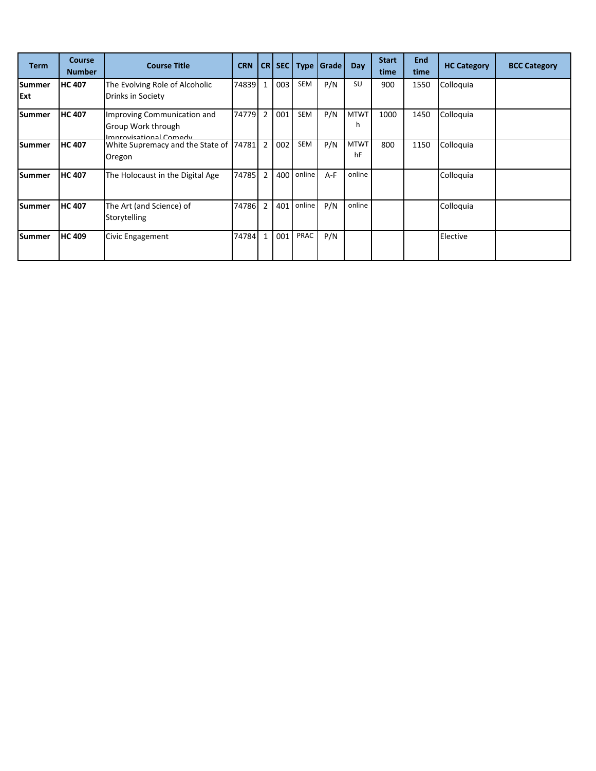| <b>Term</b>          | <b>Course</b><br><b>Number</b> | <b>Course Title</b>                                                                | <b>CRN</b> |                | <b>CR SEC</b> | <b>Type</b> | Grade | Day               | <b>Start</b><br>time | <b>End</b><br>time | <b>HC Category</b> | <b>BCC Category</b> |
|----------------------|--------------------------------|------------------------------------------------------------------------------------|------------|----------------|---------------|-------------|-------|-------------------|----------------------|--------------------|--------------------|---------------------|
| <b>Summer</b><br>Ext | <b>HC 407</b>                  | The Evolving Role of Alcoholic<br>Drinks in Society                                | 74839      | $\mathbf{1}$   | 003           | SEM         | P/N   | SU                | 900                  | 1550               | Colloquia          |                     |
| <b>Summer</b>        | <b>HC 407</b>                  | Improving Communication and<br><b>Group Work through</b><br>Improvisational Comody | 74779      | $\overline{2}$ | 001           | SEM         | P/N   | <b>MTWT</b><br>h  | 1000                 | 1450               | Colloquia          |                     |
| <b>Summer</b>        | <b>HC 407</b>                  | White Supremacy and the State of<br>Oregon                                         | 74781      | $\overline{2}$ | 002           | SEM         | P/N   | <b>MTWT</b><br>hF | 800                  | 1150               | Colloquia          |                     |
| Summer               | <b>HC 407</b>                  | The Holocaust in the Digital Age                                                   | 74785      | $\overline{2}$ | 400           | online      | $A-F$ | online            |                      |                    | Colloquia          |                     |
| <b>Summer</b>        | <b>HC 407</b>                  | The Art (and Science) of<br>Storytelling                                           | 74786      | $\overline{2}$ | 401           | online      | P/N   | online            |                      |                    | Colloquia          |                     |
| <b>Summer</b>        | <b>HC 409</b>                  | Civic Engagement                                                                   | 74784      | $\mathbf{1}$   | 001           | PRAC        | P/N   |                   |                      |                    | Elective           |                     |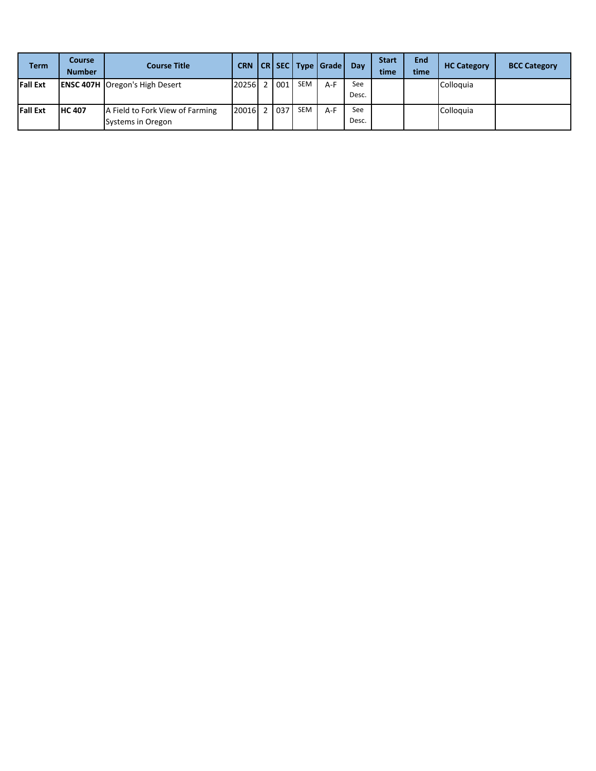| <b>Term</b>     | Course<br><b>Number</b> | <b>Course Title</b>                                  | <b>CRN</b> |      |            | CR SEC Type Grade | Day          | <b>Start</b><br>time | End<br>time | <b>HC Category</b> | <b>BCC Category</b> |
|-----------------|-------------------------|------------------------------------------------------|------------|------|------------|-------------------|--------------|----------------------|-------------|--------------------|---------------------|
| <b>Fall Ext</b> |                         | <b>ENSC 407H Oregon's High Desert</b>                | 20256 2    | 1001 | <b>SEM</b> | $A-F$             | See<br>Desc. |                      |             | Colloguia          |                     |
| <b>Fall Ext</b> | <b>IHC 407</b>          | A Field to Fork View of Farming<br>Systems in Oregon | 20016 2    | 037  | <b>SEM</b> | $A-F$             | See<br>Desc. |                      |             | Colloguia          |                     |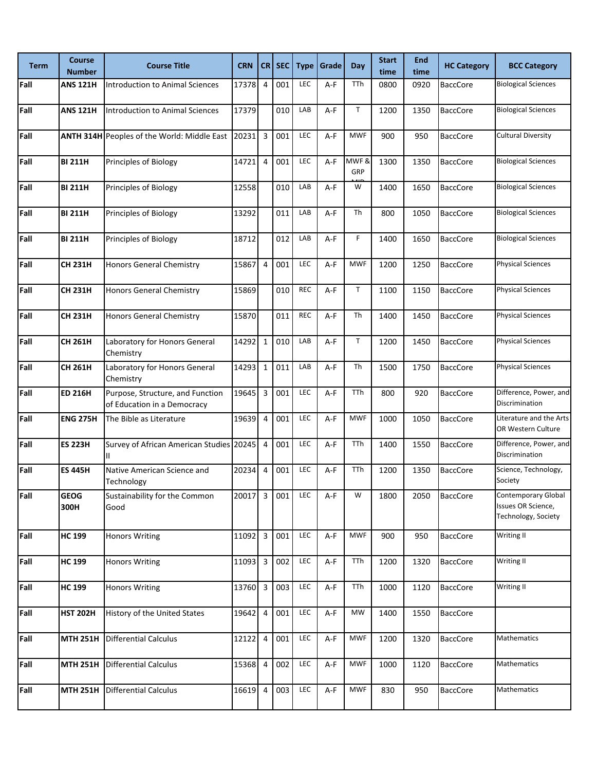| <b>Term</b> | <b>Course</b><br><b>Number</b> | <b>Course Title</b>                                             | <b>CRN</b> | CR I                    | <b>SEC</b> | <b>Type</b> | Grade | Day         | <b>Start</b><br>time | <b>End</b><br>time | <b>HC Category</b> | <b>BCC Category</b>                                              |
|-------------|--------------------------------|-----------------------------------------------------------------|------------|-------------------------|------------|-------------|-------|-------------|----------------------|--------------------|--------------------|------------------------------------------------------------------|
| Fall        | <b>ANS 121H</b>                | Introduction to Animal Sciences                                 | 17378      | $\overline{4}$          | 001        | LEC         | A-F   | TTh         | 0800                 | 0920               | <b>BaccCore</b>    | <b>Biological Sciences</b>                                       |
| Fall        | <b>ANS 121H</b>                | Introduction to Animal Sciences                                 | 17379      |                         | 010        | LAB         | A-F   | T           | 1200                 | 1350               | <b>BaccCore</b>    | <b>Biological Sciences</b>                                       |
| Fall        |                                | <b>ANTH 314H</b> Peoples of the World: Middle East              | 20231      | 3                       | 001        | LEC         | A-F   | <b>MWF</b>  | 900                  | 950                | <b>BaccCore</b>    | <b>Cultural Diversity</b>                                        |
| Fall        | <b>BI 211H</b>                 | Principles of Biology                                           | 14721      | $\overline{4}$          | 001        | LEC         | $A-F$ | MWF&<br>GRP | 1300                 | 1350               | <b>BaccCore</b>    | <b>Biological Sciences</b>                                       |
| Fall        | <b>BI 211H</b>                 | Principles of Biology                                           | 12558      |                         | 010        | LAB         | A-F   | W           | 1400                 | 1650               | <b>BaccCore</b>    | <b>Biological Sciences</b>                                       |
| Fall        | <b>BI 211H</b>                 | Principles of Biology                                           | 13292      |                         | 011        | LAB         | A-F   | Th          | 800                  | 1050               | <b>BaccCore</b>    | <b>Biological Sciences</b>                                       |
| Fall        | <b>BI 211H</b>                 | Principles of Biology                                           | 18712      |                         | 012        | LAB         | A-F   | F           | 1400                 | 1650               | <b>BaccCore</b>    | <b>Biological Sciences</b>                                       |
| Fall        | <b>CH 231H</b>                 | <b>Honors General Chemistry</b>                                 | 15867      | $\overline{4}$          | 001        | LEC         | A-F   | <b>MWF</b>  | 1200                 | 1250               | <b>BaccCore</b>    | <b>Physical Sciences</b>                                         |
| Fall        | <b>CH 231H</b>                 | <b>Honors General Chemistry</b>                                 | 15869      |                         | 010        | <b>REC</b>  | $A-F$ | T           | 1100                 | 1150               | <b>BaccCore</b>    | <b>Physical Sciences</b>                                         |
| Fall        | <b>CH 231H</b>                 | <b>Honors General Chemistry</b>                                 | 15870      |                         | 011        | <b>REC</b>  | A-F   | Th          | 1400                 | 1450               | <b>BaccCore</b>    | <b>Physical Sciences</b>                                         |
| Fall        | <b>CH 261H</b>                 | Laboratory for Honors General<br>Chemistry                      | 14292      | $1\,$                   | 010        | LAB         | A-F   | T           | 1200                 | 1450               | <b>BaccCore</b>    | <b>Physical Sciences</b>                                         |
| Fall        | <b>CH 261H</b>                 | Laboratory for Honors General<br>Chemistry                      | 14293      | $1\,$                   | 011        | LAB         | A-F   | Th          | 1500                 | 1750               | <b>BaccCore</b>    | <b>Physical Sciences</b>                                         |
| Fall        | <b>ED 216H</b>                 | Purpose, Structure, and Function<br>of Education in a Democracy | 19645      | 3                       | 001        | LEC         | A-F   | TTh         | 800                  | 920                | <b>BaccCore</b>    | Difference, Power, and<br>Discrimination                         |
| Fall        | <b>ENG 275H</b>                | The Bible as Literature                                         | 19639      | 4                       | 001        | <b>LEC</b>  | $A-F$ | <b>MWF</b>  | 1000                 | 1050               | <b>BaccCore</b>    | Literature and the Arts<br>OR Western Culture                    |
| Fall        | <b>ES 223H</b>                 | Survey of African American Studies 20245<br>Ш                   |            | $\overline{4}$          | 001        | <b>LEC</b>  | A-F   | TTh         | 1400                 | 1550               | <b>BaccCore</b>    | Difference, Power, and<br>Discrimination                         |
| Fall        | <b>ES 445H</b>                 | Native American Science and<br>Technology                       | 20234      | $\overline{4}$          | 001        | LEC         | A-F   | TTh         | 1200                 | 1350               | <b>BaccCore</b>    | Science, Technology,<br>Society                                  |
| Fall        | <b>GEOG</b><br>300H            | Sustainability for the Common<br>Good                           | 20017      | 3                       | 001        | LEC         | A-F   | W           | 1800                 | 2050               | <b>BaccCore</b>    | Contemporary Global<br>Issues OR Science,<br>Technology, Society |
| Fall        | <b>HC 199</b>                  | <b>Honors Writing</b>                                           | 11092      | $\overline{\mathbf{3}}$ | 001        | LEC         | A-F   | <b>MWF</b>  | 900                  | 950                | <b>BaccCore</b>    | Writing II                                                       |
| Fall        | <b>HC 199</b>                  | <b>Honors Writing</b>                                           | 11093      | 3                       | 002        | LEC         | A-F   | TTh         | 1200                 | 1320               | <b>BaccCore</b>    | Writing II                                                       |
| Fall        | <b>HC 199</b>                  | <b>Honors Writing</b>                                           | 13760      | $\overline{3}$          | 003        | LEC         | A-F   | TTh         | 1000                 | 1120               | <b>BaccCore</b>    | Writing II                                                       |
| Fall        | <b>HST 202H</b>                | History of the United States                                    | 19642      | $\overline{4}$          | 001        | LEC         | A-F   | MW          | 1400                 | 1550               | <b>BaccCore</b>    |                                                                  |
| Fall        | <b>MTH 251H</b>                | <b>Differential Calculus</b>                                    | 12122      | $\overline{4}$          | 001        | LEC         | A-F   | <b>MWF</b>  | 1200                 | 1320               | <b>BaccCore</b>    | Mathematics                                                      |
| Fall        | <b>MTH 251H</b>                | <b>Differential Calculus</b>                                    | 15368      | $\overline{4}$          | 002        | LEC         | A-F   | <b>MWF</b>  | 1000                 | 1120               | <b>BaccCore</b>    | Mathematics                                                      |
| Fall        | <b>MTH 251H</b>                | <b>Differential Calculus</b>                                    | 16619      | $\overline{a}$          | 003        | LEC         | A-F   | <b>MWF</b>  | 830                  | 950                | <b>BaccCore</b>    | Mathematics                                                      |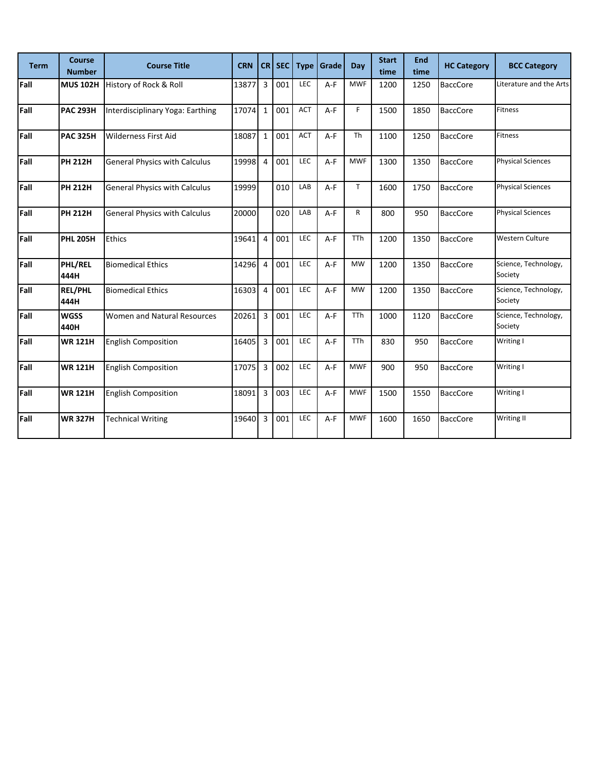| <b>Term</b> | <b>Course</b><br><b>Number</b> | <b>Course Title</b>                  | <b>CRN</b> | <b>CR</b>      | <b>SEC</b> | <b>Type</b> | Grade | Day        | <b>Start</b><br>time | <b>End</b><br>time | <b>HC Category</b> | <b>BCC Category</b>             |
|-------------|--------------------------------|--------------------------------------|------------|----------------|------------|-------------|-------|------------|----------------------|--------------------|--------------------|---------------------------------|
| Fall        | <b>MUS 102H</b>                | History of Rock & Roll               | 13877      | 3              | 001        | <b>LEC</b>  | $A-F$ | <b>MWF</b> | 1200                 | 1250               | <b>BaccCore</b>    | Literature and the Arts         |
| Fall        | <b>PAC 293H</b>                | Interdisciplinary Yoga: Earthing     | 17074      | $\mathbf 1$    | 001        | ACT         | $A-F$ | F          | 1500                 | 1850               | <b>BaccCore</b>    | Fitness                         |
| Fall        | <b>PAC 325H</b>                | <b>Wilderness First Aid</b>          | 18087      | $\mathbf{1}$   | 001        | <b>ACT</b>  | $A-F$ | <b>Th</b>  | 1100                 | 1250               | <b>BaccCore</b>    | Fitness                         |
| Fall        | <b>PH 212H</b>                 | <b>General Physics with Calculus</b> | 19998      | $\overline{4}$ | 001        | <b>LEC</b>  | A-F   | <b>MWF</b> | 1300                 | 1350               | <b>BaccCore</b>    | <b>Physical Sciences</b>        |
| Fall        | <b>PH 212H</b>                 | <b>General Physics with Calculus</b> | 19999      |                | 010        | LAB         | $A-F$ | T.         | 1600                 | 1750               | <b>BaccCore</b>    | <b>Physical Sciences</b>        |
| Fall        | <b>PH 212H</b>                 | <b>General Physics with Calculus</b> | 20000      |                | 020        | LAB         | $A-F$ | R          | 800                  | 950                | <b>BaccCore</b>    | <b>Physical Sciences</b>        |
| Fall        | <b>PHL 205H</b>                | <b>Ethics</b>                        | 19641      | $\overline{4}$ | 001        | LEC         | $A-F$ | <b>TTh</b> | 1200                 | 1350               | <b>BaccCore</b>    | <b>Western Culture</b>          |
| Fall        | <b>PHL/REL</b><br>444H         | <b>Biomedical Ethics</b>             | 14296      | $\overline{4}$ | 001        | <b>LEC</b>  | $A-F$ | <b>MW</b>  | 1200                 | 1350               | <b>BaccCore</b>    | Science, Technology,<br>Society |
| Fall        | <b>REL/PHL</b><br>444H         | <b>Biomedical Ethics</b>             | 16303      | $\overline{4}$ | 001        | LEC         | A-F   | <b>MW</b>  | 1200                 | 1350               | <b>BaccCore</b>    | Science, Technology,<br>Society |
| Fall        | <b>WGSS</b><br>440H            | Women and Natural Resources          | 20261      | 3              | 001        | LEC         | $A-F$ | <b>TTh</b> | 1000                 | 1120               | <b>BaccCore</b>    | Science, Technology,<br>Society |
| Fall        | <b>WR 121H</b>                 | <b>English Composition</b>           | 16405      | 3              | 001        | LEC         | $A-F$ | <b>TTh</b> | 830                  | 950                | <b>BaccCore</b>    | Writing I                       |
| Fall        | <b>WR 121H</b>                 | <b>English Composition</b>           | 17075      | 3              | 002        | LEC         | $A-F$ | <b>MWF</b> | 900                  | 950                | <b>BaccCore</b>    | Writing I                       |
| Fall        | <b>WR 121H</b>                 | <b>English Composition</b>           | 18091      | 3              | 003        | LEC         | $A-F$ | <b>MWF</b> | 1500                 | 1550               | <b>BaccCore</b>    | Writing I                       |
| Fall        | <b>WR 327H</b>                 | <b>Technical Writing</b>             | 19640      | $\overline{3}$ | 001        | LEC         | $A-F$ | <b>MWF</b> | 1600                 | 1650               | <b>BaccCore</b>    | Writing II                      |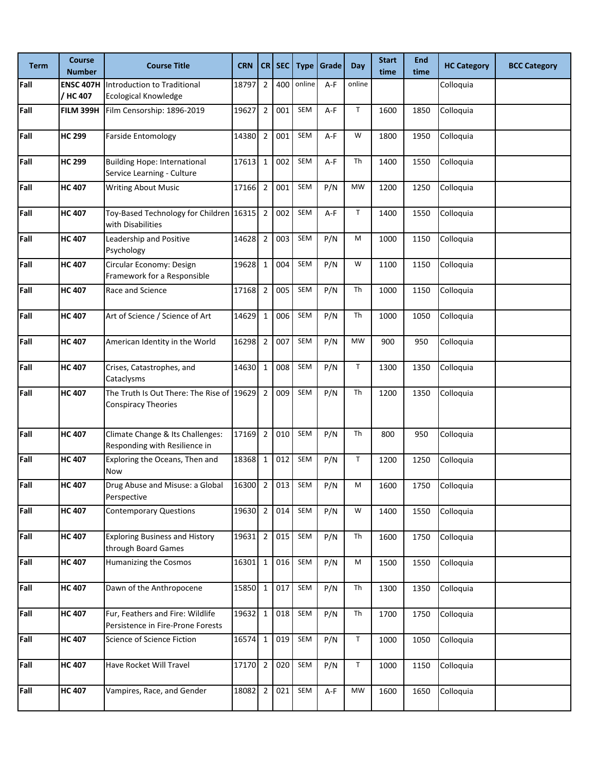| <b>Term</b> | <b>Course</b><br><b>Number</b> | <b>Course Title</b>                                                     | <b>CRN</b> |                | $CR$ SEC | <b>Type</b> | Grade | <b>Day</b>   | <b>Start</b><br>time | <b>End</b><br>time | <b>HC Category</b> | <b>BCC Category</b> |
|-------------|--------------------------------|-------------------------------------------------------------------------|------------|----------------|----------|-------------|-------|--------------|----------------------|--------------------|--------------------|---------------------|
| Fall        | <b>ENSC 407H</b><br>/ HC 407   | Introduction to Traditional<br><b>Ecological Knowledge</b>              | 18797      | $\overline{2}$ | 400      | online      | A-F   | online       |                      |                    | Colloquia          |                     |
| Fall        | <b>FILM 399H</b>               | Film Censorship: 1896-2019                                              | 19627      | $\overline{2}$ | 001      | SEM         | A-F   | T            | 1600                 | 1850               | Colloquia          |                     |
| Fall        | <b>HC 299</b>                  | <b>Farside Entomology</b>                                               | 14380      | $\overline{2}$ | 001      | SEM         | A-F   | W            | 1800                 | 1950               | Colloquia          |                     |
| Fall        | <b>HC 299</b>                  | <b>Building Hope: International</b><br>Service Learning - Culture       | 17613      | $\mathbf 1$    | 002      | SEM         | A-F   | Th           | 1400                 | 1550               | Colloquia          |                     |
| Fall        | <b>HC 407</b>                  | <b>Writing About Music</b>                                              | 17166      | $\overline{2}$ | 001      | SEM         | P/N   | <b>MW</b>    | 1200                 | 1250               | Colloquia          |                     |
| Fall        | <b>HC 407</b>                  | Toy-Based Technology for Children 16315<br>with Disabilities            |            | $\overline{2}$ | 002      | SEM         | A-F   | T            | 1400                 | 1550               | Colloquia          |                     |
| Fall        | <b>HC 407</b>                  | Leadership and Positive<br>Psychology                                   | 14628      | $\overline{2}$ | 003      | SEM         | P/N   | M            | 1000                 | 1150               | Colloquia          |                     |
| Fall        | <b>HC 407</b>                  | Circular Economy: Design<br>Framework for a Responsible                 | 19628      | $\mathbf{1}$   | 004      | SEM         | P/N   | W            | 1100                 | 1150               | Colloquia          |                     |
| Fall        | <b>HC 407</b>                  | Race and Science                                                        | 17168      | $\overline{2}$ | 005      | SEM         | P/N   | Th           | 1000                 | 1150               | Colloquia          |                     |
| Fall        | <b>HC 407</b>                  | Art of Science / Science of Art                                         | 14629      | $\mathbf 1$    | 006      | SEM         | P/N   | Th           | 1000                 | 1050               | Colloquia          |                     |
| Fall        | <b>HC 407</b>                  | American Identity in the World                                          | 16298      | $\overline{2}$ | 007      | SEM         | P/N   | <b>MW</b>    | 900                  | 950                | Colloquia          |                     |
| Fall        | <b>HC 407</b>                  | Crises, Catastrophes, and<br>Cataclysms                                 | 14630      | $\mathbf 1$    | 008      | SEM         | P/N   | T            | 1300                 | 1350               | Colloquia          |                     |
| Fall        | <b>HC 407</b>                  | The Truth Is Out There: The Rise of 19629<br><b>Conspiracy Theories</b> |            | $\overline{2}$ | 009      | SEM         | P/N   | Th           | 1200                 | 1350               | Colloquia          |                     |
| Fall        | <b>HC 407</b>                  | Climate Change & Its Challenges:<br>Responding with Resilience in       | 17169      | $\overline{2}$ | 010      | SEM         | P/N   | Th           | 800                  | 950                | Colloquia          |                     |
| Fall        | <b>HC 407</b>                  | Exploring the Oceans, Then and<br>Now                                   | 18368      | $\mathbf 1$    | 012      | SEM         | P/N   | T            | 1200                 | 1250               | Colloquia          |                     |
| Fall        | <b>HC 407</b>                  | Drug Abuse and Misuse: a Global<br>Perspective                          | 16300 2    |                | 013      | SEM         | P/N   | M            | 1600                 | 1750               | Colloquia          |                     |
| Fall        | <b>HC 407</b>                  | <b>Contemporary Questions</b>                                           | 19630      | $\overline{2}$ | 014      | SEM         | P/N   | W            | 1400                 | 1550               | Colloquia          |                     |
| Fall        | <b>HC 407</b>                  | <b>Exploring Business and History</b><br>through Board Games            | 19631 2    |                | 015      | SEM         | P/N   | Th           | 1600                 | 1750               | Colloquia          |                     |
| Fall        | <b>HC 407</b>                  | Humanizing the Cosmos                                                   | 16301 1    |                | 016      | SEM         | P/N   | M            | 1500                 | 1550               | Colloquia          |                     |
| Fall        | <b>HC 407</b>                  | Dawn of the Anthropocene                                                | 15850 1    |                | 017      | SEM         | P/N   | Th           | 1300                 | 1350               | Colloquia          |                     |
| Fall        | <b>HC 407</b>                  | Fur, Feathers and Fire: Wildlife<br>Persistence in Fire-Prone Forests   | 19632 1    |                | 018      | SEM         | P/N   | Th           | 1700                 | 1750               | Colloquia          |                     |
| Fall        | <b>HC 407</b>                  | Science of Science Fiction                                              | 16574 1    |                | 019      | SEM         | P/N   | $\mathsf{T}$ | 1000                 | 1050               | Colloquia          |                     |
| Fall        | <b>HC 407</b>                  | Have Rocket Will Travel                                                 | $17170$ 2  |                | 020      | SEM         | P/N   | T            | 1000                 | 1150               | Colloquia          |                     |
| Fall        | <b>HC 407</b>                  | Vampires, Race, and Gender                                              | 18082 2    |                | 021      | SEM         | A-F   | <b>MW</b>    | 1600                 | 1650               | Colloquia          |                     |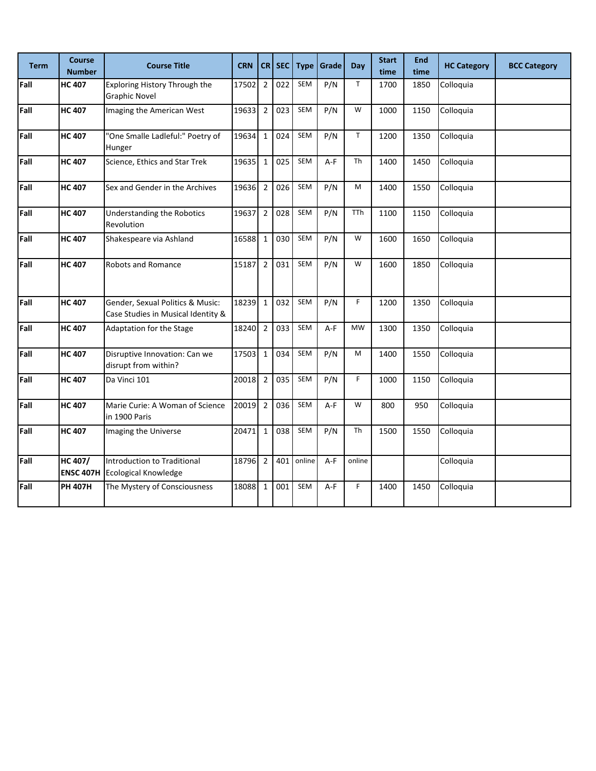| <b>Term</b> | <b>Course</b><br><b>Number</b> | <b>Course Title</b>                                                    | <b>CRN</b> | <b>CRI</b>     | <b>SEC</b> | <b>Type</b> | Grade | Day          | <b>Start</b><br>time | <b>End</b><br>time | <b>HC Category</b> | <b>BCC Category</b> |
|-------------|--------------------------------|------------------------------------------------------------------------|------------|----------------|------------|-------------|-------|--------------|----------------------|--------------------|--------------------|---------------------|
| Fall        | <b>HC 407</b>                  | Exploring History Through the<br><b>Graphic Novel</b>                  | 17502      | $\overline{2}$ | 022        | SEM         | P/N   | $\mathsf{T}$ | 1700                 | 1850               | Colloquia          |                     |
| Fall        | <b>HC 407</b>                  | Imaging the American West                                              | 19633      | $\overline{2}$ | 023        | <b>SEM</b>  | P/N   | W            | 1000                 | 1150               | Colloquia          |                     |
| Fall        | <b>HC 407</b>                  | "One Smalle Ladleful:" Poetry of<br>Hunger                             | 19634      | $\mathbf 1$    | 024        | <b>SEM</b>  | P/N   | $\mathsf T$  | 1200                 | 1350               | Colloquia          |                     |
| Fall        | <b>HC 407</b>                  | Science, Ethics and Star Trek                                          | 19635      | $\mathbf 1$    | 025        | <b>SEM</b>  | $A-F$ | Th           | 1400                 | 1450               | Colloquia          |                     |
| Fall        | <b>HC 407</b>                  | Sex and Gender in the Archives                                         | 19636      | $\overline{2}$ | 026        | <b>SEM</b>  | P/N   | M            | 1400                 | 1550               | Colloquia          |                     |
| Fall        | <b>HC 407</b>                  | Understanding the Robotics<br>Revolution                               | 19637      | $\overline{2}$ | 028        | SEM         | P/N   | <b>TTh</b>   | 1100                 | 1150               | Colloquia          |                     |
| Fall        | <b>HC 407</b>                  | Shakespeare via Ashland                                                | 16588      | $\mathbf{1}$   | 030        | SEM         | P/N   | W            | 1600                 | 1650               | Colloquia          |                     |
| Fall        | <b>HC 407</b>                  | Robots and Romance                                                     | 15187      | $\mathbf 2$    | 031        | SEM         | P/N   | W            | 1600                 | 1850               | Colloquia          |                     |
| Fall        | <b>HC 407</b>                  | Gender, Sexual Politics & Music:<br>Case Studies in Musical Identity & | 18239      | $\mathbf 1$    | 032        | <b>SEM</b>  | P/N   | F            | 1200                 | 1350               | Colloquia          |                     |
| Fall        | <b>HC 407</b>                  | Adaptation for the Stage                                               | 18240      | $\overline{2}$ | 033        | SEM         | $A-F$ | <b>MW</b>    | 1300                 | 1350               | Colloquia          |                     |
| Fall        | <b>HC 407</b>                  | Disruptive Innovation: Can we<br>disrupt from within?                  | 17503      | $\mathbf 1$    | 034        | SEM         | P/N   | M            | 1400                 | 1550               | Colloquia          |                     |
| Fall        | <b>HC 407</b>                  | Da Vinci 101                                                           | 20018      | $\overline{2}$ | 035        | <b>SEM</b>  | P/N   | F            | 1000                 | 1150               | Colloquia          |                     |
| Fall        | <b>HC 407</b>                  | Marie Curie: A Woman of Science<br>in 1900 Paris                       | 20019      | $\overline{2}$ | 036        | SEM         | $A-F$ | W            | 800                  | 950                | Colloquia          |                     |
| Fall        | <b>HC 407</b>                  | Imaging the Universe                                                   | 20471      | $\mathbf 1$    | 038        | SEM         | P/N   | Th           | 1500                 | 1550               | Colloquia          |                     |
| Fall        | HC 407/<br><b>ENSC 407H</b>    | Introduction to Traditional<br><b>Ecological Knowledge</b>             | 18796      | $\overline{2}$ | 401        | online      | $A-F$ | online       |                      |                    | Colloquia          |                     |
| Fall        | <b>PH 407H</b>                 | The Mystery of Consciousness                                           | 18088      | $\mathbf{1}$   | 001        | <b>SEM</b>  | $A-F$ | F            | 1400                 | 1450               | Colloquia          |                     |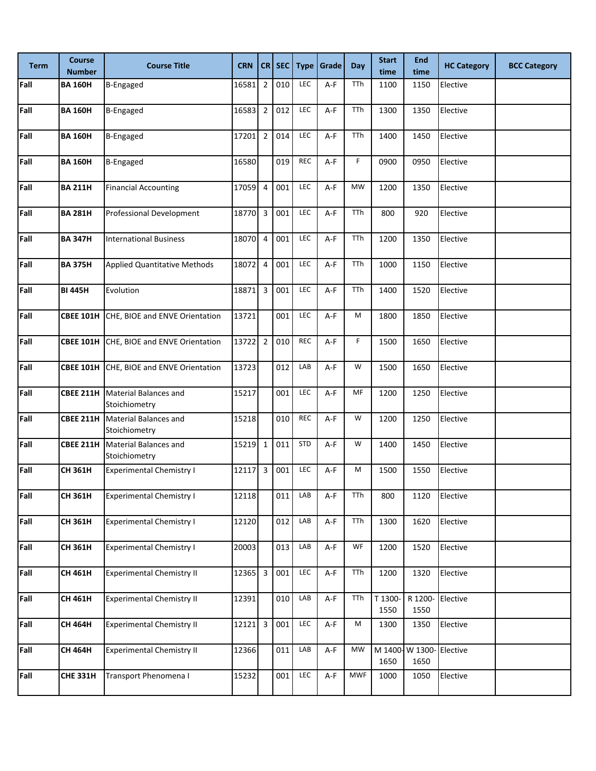| <b>Term</b> | <b>Course</b><br><b>Number</b> | <b>Course Title</b>                                     | <b>CRN</b> |                         | CR SEC | <b>Type</b> | <b>Grade</b> | Day        | <b>Start</b><br>time | <b>End</b><br>time | <b>HC Category</b> | <b>BCC Category</b> |
|-------------|--------------------------------|---------------------------------------------------------|------------|-------------------------|--------|-------------|--------------|------------|----------------------|--------------------|--------------------|---------------------|
| Fall        | <b>BA 160H</b>                 | B-Engaged                                               | 16581      | $\sqrt{2}$              | 010    | LEC         | A-F          | TTh        | 1100                 | 1150               | Elective           |                     |
| Fall        | <b>BA 160H</b>                 | <b>B-Engaged</b>                                        | 16583      | $\overline{2}$          | 012    | LEC         | A-F          | TTh        | 1300                 | 1350               | Elective           |                     |
| Fall        | <b>BA 160H</b>                 | <b>B-Engaged</b>                                        | 17201      | $\overline{2}$          | 014    | <b>LEC</b>  | A-F          | TTh        | 1400                 | 1450               | Elective           |                     |
| Fall        | <b>BA 160H</b>                 | <b>B-Engaged</b>                                        | 16580      |                         | 019    | <b>REC</b>  | A-F          | F          | 0900                 | 0950               | Elective           |                     |
| Fall        | <b>BA 211H</b>                 | <b>Financial Accounting</b>                             | 17059      | $\overline{4}$          | 001    | LEC         | A-F          | <b>MW</b>  | 1200                 | 1350               | Elective           |                     |
| Fall        | <b>BA 281H</b>                 | Professional Development                                | 18770      | $\overline{\mathbf{3}}$ | 001    | LEC         | A-F          | TTh        | 800                  | 920                | Elective           |                     |
| Fall        | <b>BA 347H</b>                 | <b>International Business</b>                           | 18070      | $\overline{4}$          | 001    | LEC         | A-F          | TTh        | 1200                 | 1350               | Elective           |                     |
| Fall        | <b>BA 375H</b>                 | <b>Applied Quantitative Methods</b>                     | 18072      | $\overline{4}$          | 001    | <b>LEC</b>  | A-F          | TTh        | 1000                 | 1150               | Elective           |                     |
| Fall        | <b>BI 445H</b>                 | Evolution                                               | 18871      | 3                       | 001    | LEC         | $A-F$        | TTh        | 1400                 | 1520               | Elective           |                     |
| Fall        |                                | <b>CBEE 101H CHE, BIOE and ENVE Orientation</b>         | 13721      |                         | 001    | LEC         | A-F          | M          | 1800                 | 1850               | Elective           |                     |
| Fall        |                                | <b>CBEE 101H CHE, BIOE and ENVE Orientation</b>         | 13722      | $\overline{2}$          | 010    | <b>REC</b>  | A-F          | F          | 1500                 | 1650               | Elective           |                     |
| Fall        | <b>CBEE 101H</b>               | CHE, BIOE and ENVE Orientation                          | 13723      |                         | 012    | LAB         | A-F          | W          | 1500                 | 1650               | Elective           |                     |
| Fall        | <b>CBEE 211H</b>               | Material Balances and<br>Stoichiometry                  | 15217      |                         | 001    | <b>LEC</b>  | A-F          | MF         | 1200                 | 1250               | Elective           |                     |
| Fall        |                                | <b>CBEE 211H</b> Material Balances and<br>Stoichiometry | 15218      |                         | 010    | <b>REC</b>  | A-F          | W          | 1200                 | 1250               | Elective           |                     |
| Fall        |                                | <b>CBEE 211H</b> Material Balances and<br>Stoichiometry | 15219      | $\mathbf{1}$            | 011    | <b>STD</b>  | A-F          | W          | 1400                 | 1450               | Elective           |                     |
| Fall        | <b>CH 361H</b>                 | <b>Experimental Chemistry I</b>                         | 12117      | 3                       | 001    | LEC         | A-F          | M          | 1500                 | 1550               | Elective           |                     |
| Fall        | CH 361H                        | <b>Experimental Chemistry I</b>                         | 12118      |                         | 011    | LAB         | A-F          | TTh        | 800                  | 1120               | Elective           |                     |
| Fall        | CH 361H                        | <b>Experimental Chemistry I</b>                         | 12120      |                         | 012    | LAB         | A-F          | TTh        | 1300                 | 1620               | Elective           |                     |
| Fall        | CH 361H                        | <b>Experimental Chemistry I</b>                         | 20003      |                         | 013    | LAB         | A-F          | WF         | 1200                 | 1520               | Elective           |                     |
| Fall        | CH 461H                        | <b>Experimental Chemistry II</b>                        | 12365      | $\overline{3}$          | 001    | LEC         | A-F          | TTh        | 1200                 | 1320               | Elective           |                     |
| Fall        | CH 461H                        | <b>Experimental Chemistry II</b>                        | 12391      |                         | 010    | LAB         | A-F          | TTh        | T 1300-<br>1550      | R 1200-<br>1550    | Elective           |                     |
| Fall        | <b>CH 464H</b>                 | <b>Experimental Chemistry II</b>                        | 12121      | 3                       | 001    | LEC         | $A-F$        | M          | 1300                 | 1350               | Elective           |                     |
| Fall        | <b>CH 464H</b>                 | <b>Experimental Chemistry II</b>                        | 12366      |                         | 011    | LAB         | A-F          | <b>MW</b>  | M 1400-<br>1650      | W 1300-<br>1650    | Elective           |                     |
| Fall        | <b>CHE 331H</b>                | Transport Phenomena I                                   | 15232      |                         | 001    | LEC         | A-F          | <b>MWF</b> | 1000                 | 1050               | Elective           |                     |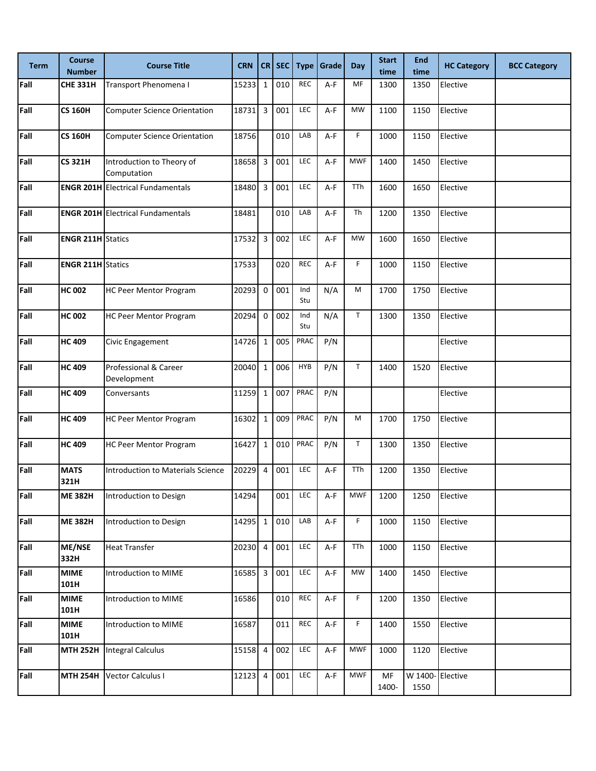| <b>Term</b> | <b>Course</b><br><b>Number</b> | <b>Course Title</b>                      | <b>CRN</b> |                         | CR SEC | <b>Type</b> | Grade | <b>Day</b>  | <b>Start</b><br>time | <b>End</b><br>time | <b>HC Category</b> | <b>BCC Category</b> |
|-------------|--------------------------------|------------------------------------------|------------|-------------------------|--------|-------------|-------|-------------|----------------------|--------------------|--------------------|---------------------|
| Fall        | <b>CHE 331H</b>                | Transport Phenomena I                    | 15233      | $1\,$                   | 010    | <b>REC</b>  | A-F   | MF          | 1300                 | 1350               | Elective           |                     |
| Fall        | <b>CS 160H</b>                 | <b>Computer Science Orientation</b>      | 18731      | 3                       | 001    | LEC         | A-F   | <b>MW</b>   | 1100                 | 1150               | Elective           |                     |
| Fall        | <b>CS 160H</b>                 | <b>Computer Science Orientation</b>      | 18756      |                         | 010    | LAB         | A-F   | F           | 1000                 | 1150               | Elective           |                     |
| Fall        | <b>CS 321H</b>                 | Introduction to Theory of<br>Computation | 18658      | $\overline{\mathbf{3}}$ | 001    | LEC         | A-F   | <b>MWF</b>  | 1400                 | 1450               | Elective           |                     |
| Fall        |                                | <b>ENGR 201H Electrical Fundamentals</b> | 18480      | 3                       | 001    | LEC         | A-F   | <b>TTh</b>  | 1600                 | 1650               | Elective           |                     |
| Fall        |                                | <b>ENGR 201H Electrical Fundamentals</b> | 18481      |                         | 010    | LAB         | A-F   | Th          | 1200                 | 1350               | Elective           |                     |
| Fall        | <b>ENGR 211H Statics</b>       |                                          | 17532      | 3                       | 002    | LEC         | A-F   | <b>MW</b>   | 1600                 | 1650               | Elective           |                     |
| Fall        | <b>ENGR 211H Statics</b>       |                                          | 17533      |                         | 020    | <b>REC</b>  | A-F   | F           | 1000                 | 1150               | Elective           |                     |
| Fall        | <b>HC 002</b>                  | <b>HC Peer Mentor Program</b>            | 20293      | $\mathbf 0$             | 001    | Ind<br>Stu  | N/A   | M           | 1700                 | 1750               | Elective           |                     |
| Fall        | <b>HC 002</b>                  | <b>HC Peer Mentor Program</b>            | 20294      | $\mathbf 0$             | 002    | Ind<br>Stu  | N/A   | $\mathsf T$ | 1300                 | 1350               | Elective           |                     |
| Fall        | <b>HC 409</b>                  | Civic Engagement                         | 14726      | $\mathbf{1}$            | 005    | PRAC        | P/N   |             |                      |                    | Elective           |                     |
| Fall        | <b>HC 409</b>                  | Professional & Career<br>Development     | 20040      | $\mathbf 1$             | 006    | <b>HYB</b>  | P/N   | T           | 1400                 | 1520               | Elective           |                     |
| Fall        | <b>HC 409</b>                  | Conversants                              | 11259      | $\mathbf 1$             | 007    | PRAC        | P/N   |             |                      |                    | Elective           |                     |
| Fall        | <b>HC 409</b>                  | <b>HC Peer Mentor Program</b>            | 16302      | $\mathbf 1$             | 009    | PRAC        | P/N   | M           | 1700                 | 1750               | Elective           |                     |
| Fall        | <b>HC 409</b>                  | <b>HC Peer Mentor Program</b>            | 16427      | $\mathbf 1$             | 010    | PRAC        | P/N   | $\mathsf T$ | 1300                 | 1350               | Elective           |                     |
| Fall        | <b>MATS</b><br>321H            | <b>Introduction to Materials Science</b> | 20229      | $\overline{4}$          | 001    | LEC         | A-F   | TTh         | 1200                 | 1350               | Elective           |                     |
| Fall        | <b>ME 382H</b>                 | Introduction to Design                   | 14294      |                         | 001    | LEC         | A-F   | <b>MWF</b>  | 1200                 | 1250               | Elective           |                     |
| Fall        | <b>ME 382H</b>                 | Introduction to Design                   | 14295      | $\mathbf{1}$            | 010    | LAB         | A-F   | F.          | 1000                 | 1150               | Elective           |                     |
| Fall        | ME/NSE<br>332H                 | <b>Heat Transfer</b>                     | 20230      | $\overline{4}$          | 001    | LEC         | A-F   | TTh         | 1000                 | 1150               | Elective           |                     |
| Fall        | <b>MIME</b><br>101H            | Introduction to MIME                     | 16585      | $\overline{\mathbf{3}}$ | 001    | LEC         | A-F   | <b>MW</b>   | 1400                 | 1450               | Elective           |                     |
| Fall        | <b>MIME</b><br>101H            | Introduction to MIME                     | 16586      |                         | 010    | REC         | $A-F$ | F.          | 1200                 | 1350               | Elective           |                     |
| Fall        | <b>MIME</b><br>101H            | Introduction to MIME                     | 16587      |                         | 011    | <b>REC</b>  | A-F   | F           | 1400                 | 1550               | Elective           |                     |
| Fall        | <b>MTH 252H</b>                | <b>Integral Calculus</b>                 | 15158      | $\overline{4}$          | 002    | LEC         | A-F   | <b>MWF</b>  | 1000                 | 1120               | Elective           |                     |
| Fall        | <b>MTH 254H</b>                | Vector Calculus I                        | 12123      | $\overline{4}$          | 001    | LEC         | $A-F$ | <b>MWF</b>  | MF<br>1400-          | W 1400-<br>1550    | Elective           |                     |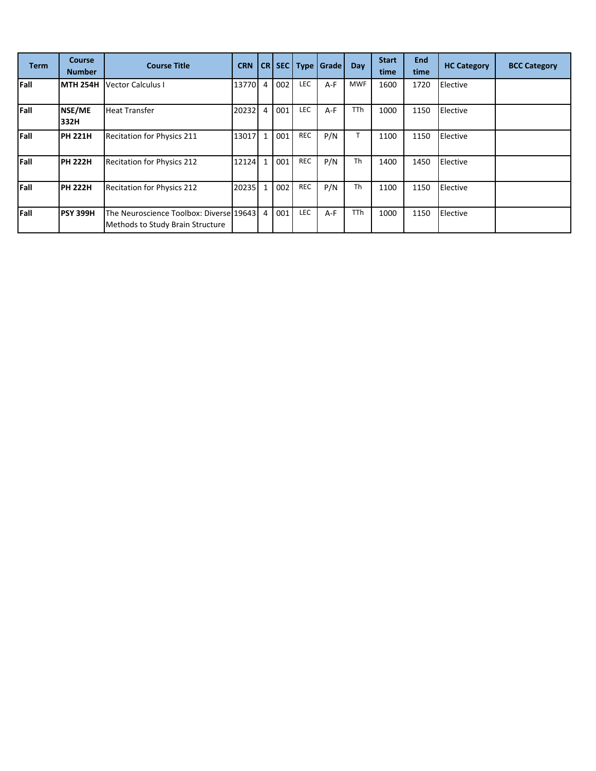| <b>Term</b> | <b>Course</b><br><b>Number</b> | <b>Course Title</b>                                                         | <b>CRN</b> |              |     |            | CR SEC Type Grade | Day        | <b>Start</b><br>time | <b>End</b><br>time | <b>HC Category</b> | <b>BCC Category</b> |
|-------------|--------------------------------|-----------------------------------------------------------------------------|------------|--------------|-----|------------|-------------------|------------|----------------------|--------------------|--------------------|---------------------|
| Fall        | <b>MTH 254H</b>                | Vector Calculus I                                                           | 13770      | 4            | 002 | <b>LEC</b> | $A-F$             | <b>MWF</b> | 1600                 | 1720               | Elective           |                     |
| Fall        | NSE/ME<br>332H                 | <b>Heat Transfer</b>                                                        | 20232      | 4            | 001 | <b>LEC</b> | A-F               | <b>TTh</b> | 1000                 | 1150               | Elective           |                     |
| Fall        | <b>PH 221H</b>                 | <b>Recitation for Physics 211</b>                                           | 13017      | $\mathbf{1}$ | 001 | <b>REC</b> | P/N               |            | 1100                 | 1150               | Elective           |                     |
| Fall        | <b>PH 222H</b>                 | <b>Recitation for Physics 212</b>                                           | 12124      | $\mathbf{1}$ | 001 | <b>REC</b> | P/N               | <b>Th</b>  | 1400                 | 1450               | Elective           |                     |
| Fall        | <b>PH 222H</b>                 | Recitation for Physics 212                                                  | 20235      | $\mathbf{1}$ | 002 | REC        | P/N               | <b>Th</b>  | 1100                 | 1150               | Elective           |                     |
| Fall        | <b>PSY 399H</b>                | The Neuroscience Toolbox: Diverse 19643<br>Methods to Study Brain Structure |            | 4            | 001 | <b>LEC</b> | $A-F$             | <b>TTh</b> | 1000                 | 1150               | Elective           |                     |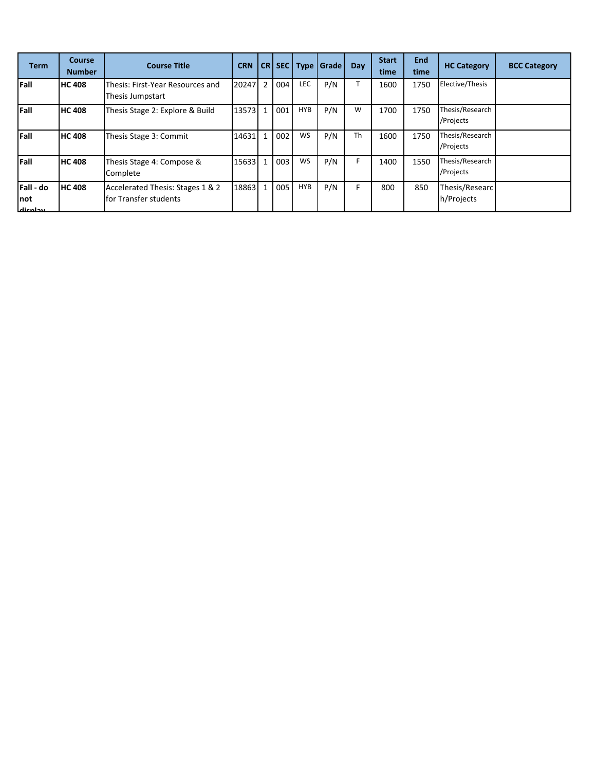| <b>Term</b>                    | Course<br><b>Number</b> | <b>Course Title</b>                                       | <b>CRN</b> |                |     | CR SEC Type | Grade | <b>Day</b> | <b>Start</b><br>time | <b>End</b><br>time | <b>HC Category</b>           | <b>BCC Category</b> |
|--------------------------------|-------------------------|-----------------------------------------------------------|------------|----------------|-----|-------------|-------|------------|----------------------|--------------------|------------------------------|---------------------|
| <b>Fall</b>                    | <b>HC 408</b>           | Thesis: First-Year Resources and<br>Thesis Jumpstart      | 20247      | $\overline{2}$ | 004 | LEC         | P/N   |            | 1600                 | 1750               | Elective/Thesis              |                     |
| Fall                           | <b>HC 408</b>           | Thesis Stage 2: Explore & Build                           | 13573      | $\mathbf{1}$   | 001 | <b>HYB</b>  | P/N   | W          | 1700                 | 1750               | Thesis/Research<br>/Projects |                     |
| Fall                           | <b>HC 408</b>           | Thesis Stage 3: Commit                                    | 14631      | $\mathbf{1}$   | 002 | WS          | P/N   | <b>Th</b>  | 1600                 | 1750               | Thesis/Research<br>/Projects |                     |
| Fall                           | <b>HC 408</b>           | Thesis Stage 4: Compose &<br>Complete                     | 15633      | $\mathbf{1}$   | 003 | WS          | P/N   | F.         | 1400                 | 1550               | Thesis/Research<br>/Projects |                     |
| Fall - do<br>Inot<br>يبدلوعناه | <b>HC 408</b>           | Accelerated Thesis: Stages 1 & 2<br>for Transfer students | 18863      | $\mathbf{1}$   | 005 | <b>HYB</b>  | P/N   | F.         | 800                  | 850                | Thesis/Researc<br>h/Projects |                     |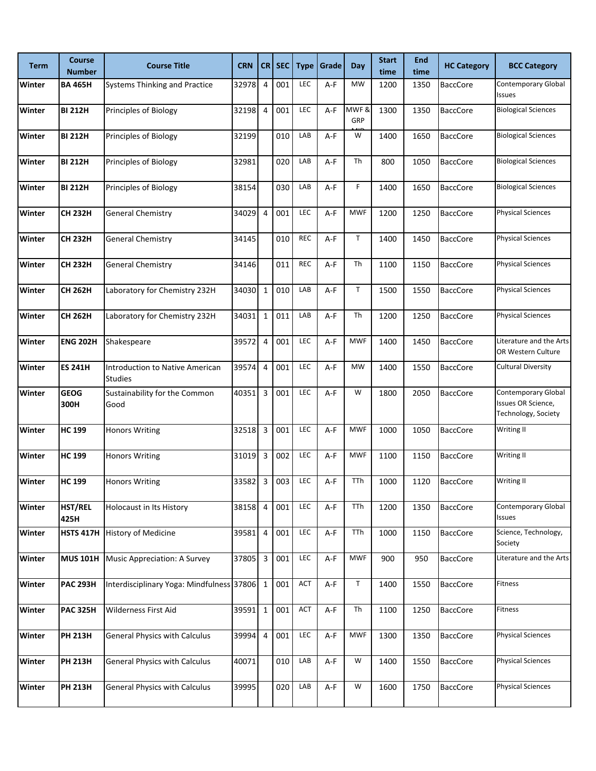| <b>Term</b>   | <b>Course</b><br>Number | <b>Course Title</b>                                      | <b>CRN</b> | CR             | <b>SEC</b> | <b>Type</b> | Grade | Day         | <b>Start</b><br>time | <b>End</b><br>time | <b>HC Category</b> | <b>BCC Category</b>                                              |
|---------------|-------------------------|----------------------------------------------------------|------------|----------------|------------|-------------|-------|-------------|----------------------|--------------------|--------------------|------------------------------------------------------------------|
| Winter        | <b>BA 465H</b>          | <b>Systems Thinking and Practice</b>                     | 32978      | 4              | 001        | LEC         | $A-F$ | <b>MW</b>   | 1200                 | 1350               | <b>BaccCore</b>    | Contemporary Global<br><b>Issues</b>                             |
| Winter        | <b>BI 212H</b>          | <b>Principles of Biology</b>                             | 32198      | 4              | 001        | LEC         | A-F   | MWF&<br>GRP | 1300                 | 1350               | <b>BaccCore</b>    | <b>Biological Sciences</b>                                       |
| <b>Winter</b> | <b>BI 212H</b>          | Principles of Biology                                    | 32199      |                | 010        | LAB         | A-F   | W           | 1400                 | 1650               | <b>BaccCore</b>    | <b>Biological Sciences</b>                                       |
| Winter        | <b>BI 212H</b>          | Principles of Biology                                    | 32981      |                | 020        | LAB         | $A-F$ | Th          | 800                  | 1050               | <b>BaccCore</b>    | <b>Biological Sciences</b>                                       |
| <b>Winter</b> | <b>BI 212H</b>          | Principles of Biology                                    | 38154      |                | 030        | LAB         | A-F   | F           | 1400                 | 1650               | <b>BaccCore</b>    | <b>Biological Sciences</b>                                       |
| Winter        | <b>CH 232H</b>          | <b>General Chemistry</b>                                 | 34029      | 4              | 001        | LEC         | A-F   | <b>MWF</b>  | 1200                 | 1250               | <b>BaccCore</b>    | <b>Physical Sciences</b>                                         |
| Winter        | <b>CH 232H</b>          | <b>General Chemistry</b>                                 | 34145      |                | 010        | <b>REC</b>  | A-F   | $\mathsf T$ | 1400                 | 1450               | <b>BaccCore</b>    | <b>Physical Sciences</b>                                         |
| Winter        | <b>CH 232H</b>          | <b>General Chemistry</b>                                 | 34146      |                | 011        | <b>REC</b>  | A-F   | Th          | 1100                 | 1150               | <b>BaccCore</b>    | <b>Physical Sciences</b>                                         |
| <b>Winter</b> | <b>CH 262H</b>          | Laboratory for Chemistry 232H                            | 34030      | $\mathbf{1}$   | 010        | LAB         | A-F   | T           | 1500                 | 1550               | <b>BaccCore</b>    | <b>Physical Sciences</b>                                         |
| <b>Winter</b> | <b>CH 262H</b>          | Laboratory for Chemistry 232H                            | 34031      | $\mathbf{1}$   | 011        | LAB         | A-F   | Th          | 1200                 | 1250               | <b>BaccCore</b>    | <b>Physical Sciences</b>                                         |
| Winter        | <b>ENG 202H</b>         | Shakespeare                                              | 39572      | 4              | 001        | LEC         | A-F   | <b>MWF</b>  | 1400                 | 1450               | <b>BaccCore</b>    | Literature and the Arts<br>OR Western Culture                    |
| Winter        | <b>ES 241H</b>          | <b>Introduction to Native American</b><br><b>Studies</b> | 39574      | 4              | 001        | LEC         | A-F   | MW          | 1400                 | 1550               | <b>BaccCore</b>    | <b>Cultural Diversity</b>                                        |
| Winter        | <b>GEOG</b><br>300H     | Sustainability for the Common<br>Good                    | 40351      | 3              | 001        | LEC         | A-F   | W           | 1800                 | 2050               | <b>BaccCore</b>    | Contemporary Global<br>Issues OR Science,<br>Technology, Society |
| Winter        | <b>HC 199</b>           | <b>Honors Writing</b>                                    | 32518      | 3              | 001        | LEC         | $A-F$ | <b>MWF</b>  | 1000                 | 1050               | <b>BaccCore</b>    | Writing II                                                       |
| Winter        | <b>HC 199</b>           | <b>Honors Writing</b>                                    | 31019      | 3              | 002        | LEC         | A-F   | <b>MWF</b>  | 1100                 | 1150               | <b>BaccCore</b>    | Writing II                                                       |
| Winter        | <b>HC 199</b>           | <b>Honors Writing</b>                                    | 33582      | 3              | 003        | LEC         | A-F   | TTh         | 1000                 | 1120               | <b>BaccCore</b>    | Writing II                                                       |
| Winter        | HST/REL<br>425H         | Holocaust in Its History                                 | 38158      | $\overline{4}$ | 001        | LEC         | $A-F$ | <b>TTh</b>  | 1200                 | 1350               | <b>BaccCore</b>    | Contemporary Global<br>Issues                                    |
| Winter        | <b>HSTS 417H</b>        | <b>History of Medicine</b>                               | 39581      | $\overline{4}$ | 001        | LEC         | A-F   | TTh         | 1000                 | 1150               | <b>BaccCore</b>    | Science, Technology,<br>Society                                  |
| Winter        | <b>MUS 101H</b>         | Music Appreciation: A Survey                             | 37805      | $\mathsf 3$    | 001        | LEC         | A-F   | <b>MWF</b>  | 900                  | 950                | <b>BaccCore</b>    | Literature and the Arts                                          |
| Winter        | <b>PAC 293H</b>         | Interdisciplinary Yoga: Mindfulness 37806                |            | $\mathbf{1}$   | 001        | ACT         | A-F   | Τ           | 1400                 | 1550               | <b>BaccCore</b>    | Fitness                                                          |
| Winter        | <b>PAC 325H</b>         | Wilderness First Aid                                     | 39591      | $\mathbf{1}$   | 001        | <b>ACT</b>  | A-F   | Th          | 1100                 | 1250               | <b>BaccCore</b>    | Fitness                                                          |
| Winter        | <b>PH 213H</b>          | <b>General Physics with Calculus</b>                     | 39994      | $\overline{4}$ | 001        | LEC         | A-F   | <b>MWF</b>  | 1300                 | 1350               | <b>BaccCore</b>    | <b>Physical Sciences</b>                                         |
| Winter        | <b>PH 213H</b>          | <b>General Physics with Calculus</b>                     | 40071      |                | 010        | LAB         | A-F   | W           | 1400                 | 1550               | <b>BaccCore</b>    | <b>Physical Sciences</b>                                         |
| Winter        | <b>PH 213H</b>          | <b>General Physics with Calculus</b>                     | 39995      |                | 020        | LAB         | A-F   | W           | 1600                 | 1750               | <b>BaccCore</b>    | <b>Physical Sciences</b>                                         |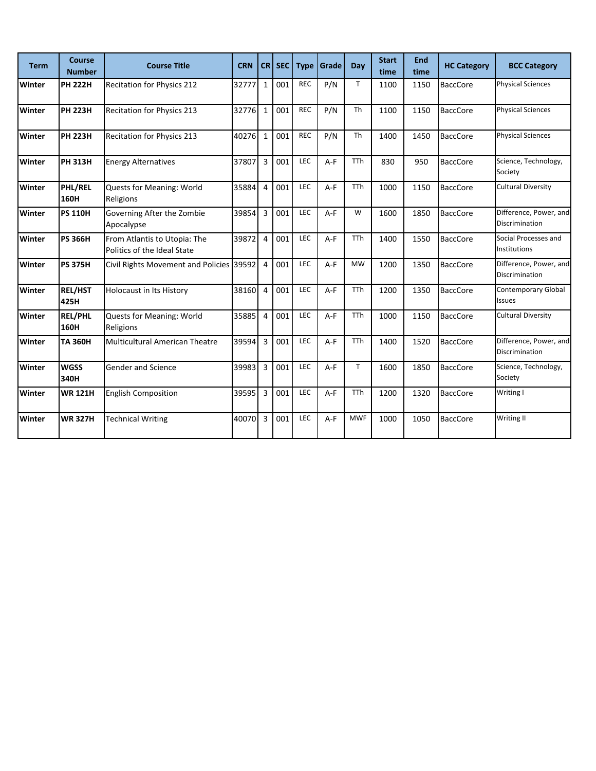| <b>Term</b>   | <b>Course</b><br><b>Number</b> | <b>Course Title</b>                                         | <b>CRN</b> | <b>CR</b>      | <b>SEC</b> | <b>Type</b> | l Grade | Day        | <b>Start</b><br>time | <b>End</b><br>time | <b>HC Category</b> | <b>BCC Category</b>                      |
|---------------|--------------------------------|-------------------------------------------------------------|------------|----------------|------------|-------------|---------|------------|----------------------|--------------------|--------------------|------------------------------------------|
| Winter        | <b>PH 222H</b>                 | <b>Recitation for Physics 212</b>                           | 32777      | $1\,$          | 001        | <b>REC</b>  | P/N     | T          | 1100                 | 1150               | <b>BaccCore</b>    | <b>Physical Sciences</b>                 |
| Winter        | <b>PH 223H</b>                 | <b>Recitation for Physics 213</b>                           | 32776      | $\mathbf 1$    | 001        | <b>REC</b>  | P/N     | Th         | 1100                 | 1150               | <b>BaccCore</b>    | <b>Physical Sciences</b>                 |
| Winter        | <b>PH 223H</b>                 | Recitation for Physics 213                                  | 40276      | $\mathbf{1}$   | 001        | <b>REC</b>  | P/N     | <b>Th</b>  | 1400                 | 1450               | <b>BaccCore</b>    | <b>Physical Sciences</b>                 |
| Winter        | <b>PH 313H</b>                 | <b>Energy Alternatives</b>                                  | 37807      | 3              | 001        | LEC         | $A-F$   | <b>TTh</b> | 830                  | 950                | <b>BaccCore</b>    | Science, Technology,<br>Society          |
| Winter        | <b>PHL/REL</b><br>160H         | Quests for Meaning: World<br>Religions                      | 35884      | $\overline{4}$ | 001        | LEC         | A-F     | <b>TTh</b> | 1000                 | 1150               | <b>BaccCore</b>    | Cultural Diversity                       |
| Winter        | <b>PS 110H</b>                 | Governing After the Zombie<br>Apocalypse                    | 39854      | 3              | 001        | LEC         | A-F     | W          | 1600                 | 1850               | <b>BaccCore</b>    | Difference, Power, and<br>Discrimination |
| Winter        | <b>PS 366H</b>                 | From Atlantis to Utopia: The<br>Politics of the Ideal State | 39872      | $\overline{4}$ | 001        | LEC         | $A-F$   | <b>TTh</b> | 1400                 | 1550               | <b>BaccCore</b>    | Social Processes and<br>Institutions     |
| <b>Winter</b> | <b>PS 375H</b>                 | Civil Rights Movement and Policies 39592                    |            | $\overline{4}$ | 001        | <b>LEC</b>  | $A-F$   | <b>MW</b>  | 1200                 | 1350               | <b>BaccCore</b>    | Difference, Power, and<br>Discrimination |
| Winter        | <b>REL/HST</b><br>425H         | <b>Holocaust in Its History</b>                             | 38160      | $\overline{4}$ | 001        | <b>LEC</b>  | $A-F$   | <b>TTh</b> | 1200                 | 1350               | <b>BaccCore</b>    | <b>Contemporary Global</b><br>Issues     |
| Winter        | <b>REL/PHL</b><br>160H         | <b>Quests for Meaning: World</b><br>Religions               | 35885      | $\overline{4}$ | 001        | LEC         | $A-F$   | <b>TTh</b> | 1000                 | 1150               | <b>BaccCore</b>    | <b>Cultural Diversity</b>                |
| Winter        | <b>TA 360H</b>                 | <b>Multicultural American Theatre</b>                       | 39594      | 3              | 001        | LEC         | $A-F$   | <b>TTh</b> | 1400                 | 1520               | <b>BaccCore</b>    | Difference, Power, and<br>Discrimination |
| Winter        | <b>WGSS</b><br>340H            | <b>Gender and Science</b>                                   | 39983      | 3              | 001        | LEC         | $A-F$   | T.         | 1600                 | 1850               | <b>BaccCore</b>    | Science, Technology,<br>Society          |
| Winter        | <b>WR 121H</b>                 | <b>English Composition</b>                                  | 39595      | 3              | 001        | LEC         | A-F     | <b>TTh</b> | 1200                 | 1320               | <b>BaccCore</b>    | Writing I                                |
| Winter        | <b>WR 327H</b>                 | <b>Technical Writing</b>                                    | 40070      | $\overline{3}$ | 001        | <b>LEC</b>  | $A-F$   | <b>MWF</b> | 1000                 | 1050               | <b>BaccCore</b>    | <b>Writing II</b>                        |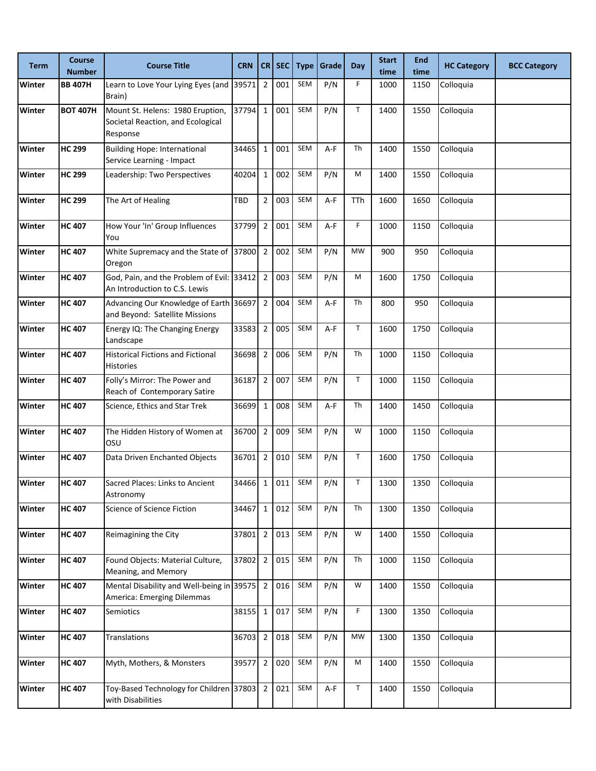| <b>Term</b> | <b>Course</b><br><b>Number</b> | <b>Course Title</b>                                                               | <b>CRN</b> | CR             | <b>SEC</b> | <b>Type</b> | Grade | Day         | <b>Start</b><br>time | <b>End</b><br>time | <b>HC Category</b> | <b>BCC Category</b> |
|-------------|--------------------------------|-----------------------------------------------------------------------------------|------------|----------------|------------|-------------|-------|-------------|----------------------|--------------------|--------------------|---------------------|
| Winter      | <b>BB 407H</b>                 | Learn to Love Your Lying Eyes (and 39571<br>Brain)                                |            | $\overline{2}$ | 001        | SEM         | P/N   | F           | 1000                 | 1150               | Colloquia          |                     |
| Winter      | <b>BOT 407H</b>                | Mount St. Helens: 1980 Eruption,<br>Societal Reaction, and Ecological<br>Response | 37794      | $\mathbf 1$    | 001        | SEM         | P/N   | $\mathsf T$ | 1400                 | 1550               | Colloquia          |                     |
| Winter      | <b>HC 299</b>                  | <b>Building Hope: International</b><br>Service Learning - Impact                  | 34465      | $\mathbf{1}$   | 001        | <b>SEM</b>  | A-F   | Th          | 1400                 | 1550               | Colloquia          |                     |
| Winter      | <b>HC 299</b>                  | Leadership: Two Perspectives                                                      | 40204      | $\mathbf{1}$   | 002        | SEM         | P/N   | M           | 1400                 | 1550               | Colloquia          |                     |
| Winter      | <b>HC 299</b>                  | The Art of Healing                                                                | TBD        | $\overline{2}$ | 003        | SEM         | A-F   | TTh         | 1600                 | 1650               | Colloquia          |                     |
| Winter      | <b>HC 407</b>                  | How Your 'In' Group Influences<br>You                                             | 37799      | $\overline{2}$ | 001        | SEM         | A-F   | F           | 1000                 | 1150               | Colloquia          |                     |
| Winter      | <b>HC 407</b>                  | White Supremacy and the State of 37800<br>Oregon                                  |            | $\overline{2}$ | 002        | SEM         | P/N   | MW          | 900                  | 950                | Colloquia          |                     |
| Winter      | <b>HC 407</b>                  | God, Pain, and the Problem of Evil: 33412<br>An Introduction to C.S. Lewis        |            | $\overline{2}$ | 003        | <b>SEM</b>  | P/N   | M           | 1600                 | 1750               | Colloquia          |                     |
| Winter      | <b>HC 407</b>                  | Advancing Our Knowledge of Earth 36697<br>and Beyond: Satellite Missions          |            | $\overline{2}$ | 004        | SEM         | A-F   | Th          | 800                  | 950                | Colloquia          |                     |
| Winter      | <b>HC 407</b>                  | Energy IQ: The Changing Energy<br>Landscape                                       | 33583      | $\overline{2}$ | 005        | SEM         | A-F   | T           | 1600                 | 1750               | Colloquia          |                     |
| Winter      | <b>HC 407</b>                  | <b>Historical Fictions and Fictional</b><br>Histories                             | 36698      | $\overline{2}$ | 006        | SEM         | P/N   | Th          | 1000                 | 1150               | Colloquia          |                     |
| Winter      | <b>HC 407</b>                  | Folly's Mirror: The Power and<br>Reach of Contemporary Satire                     | 36187      | $\overline{2}$ | 007        | SEM         | P/N   | $\mathsf T$ | 1000                 | 1150               | Colloquia          |                     |
| Winter      | <b>HC 407</b>                  | Science, Ethics and Star Trek                                                     | 36699      | $\mathbf{1}$   | 008        | <b>SEM</b>  | A-F   | Th          | 1400                 | 1450               | Colloquia          |                     |
| Winter      | <b>HC 407</b>                  | The Hidden History of Women at<br>OSU                                             | 36700      | $\overline{2}$ | 009        | SEM         | P/N   | W           | 1000                 | 1150               | Colloquia          |                     |
| Winter      | <b>HC 407</b>                  | Data Driven Enchanted Objects                                                     | 36701      | $\overline{2}$ | 010        | SEM         | P/N   | T           | 1600                 | 1750               | Colloquia          |                     |
| Winter      | <b>HC 407</b>                  | Sacred Places: Links to Ancient<br>Astronomy                                      | 34466      | $\mathbf{1}$   | 011        | SEM         | P/N   | $\mathsf T$ | 1300                 | 1350               | Colloquia          |                     |
| Winter      | <b>HC 407</b>                  | Science of Science Fiction                                                        | 34467      | $\mathbf 1$    | 012        | SEM         | P/N   | Th          | 1300                 | 1350               | Colloquia          |                     |
| Winter      | <b>HC 407</b>                  | Reimagining the City                                                              | 37801      | $\overline{2}$ | 013        | SEM         | P/N   | W           | 1400                 | 1550               | Colloquia          |                     |
| Winter      | <b>HC 407</b>                  | Found Objects: Material Culture,<br>Meaning, and Memory                           | 37802      | $\overline{2}$ | 015        | SEM         | P/N   | Th          | 1000                 | 1150               | Colloquia          |                     |
| Winter      | <b>HC 407</b>                  | Mental Disability and Well-being in 39575 2<br>America: Emerging Dilemmas         |            |                | 016        | SEM         | P/N   | W           | 1400                 | 1550               | Colloquia          |                     |
| Winter      | <b>HC 407</b>                  | Semiotics                                                                         | 38155      | $\mathbf 1$    | 017        | SEM         | P/N   | F.          | 1300                 | 1350               | Colloquia          |                     |
| Winter      | <b>HC 407</b>                  | <b>Translations</b>                                                               | 36703      | $\overline{2}$ | 018        | SEM         | P/N   | <b>MW</b>   | 1300                 | 1350               | Colloquia          |                     |
| Winter      | <b>HC 407</b>                  | Myth, Mothers, & Monsters                                                         | 39577      | $\overline{2}$ | 020        | SEM         | P/N   | M           | 1400                 | 1550               | Colloquia          |                     |
| Winter      | <b>HC 407</b>                  | Toy-Based Technology for Children 37803 2<br>with Disabilities                    |            |                | 021        | SEM         | A-F   | T           | 1400                 | 1550               | Colloquia          |                     |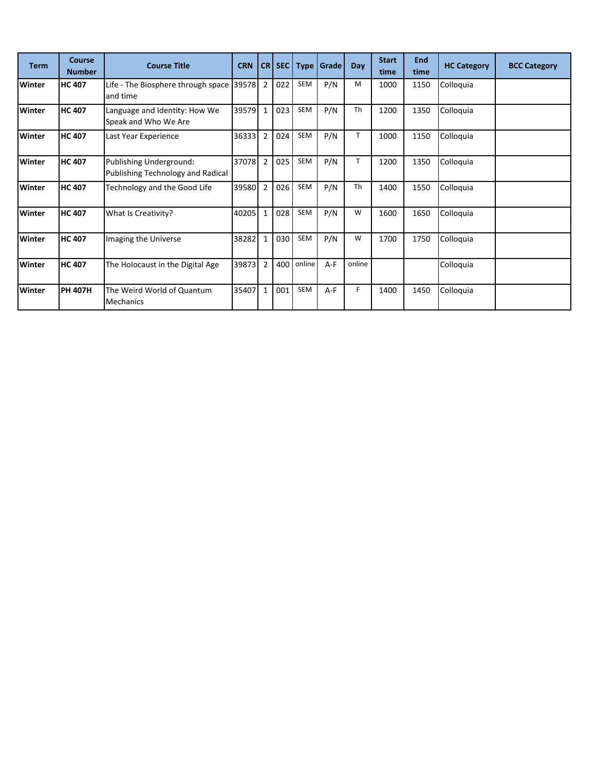| <b>Term</b>   | Course<br><b>Number</b> | <b>Course Title</b>                                          | <b>CRN</b> | CR <sub>I</sub> | SEC |        | <b>Type   Grade</b> | Day       | <b>Start</b><br>time | <b>End</b><br>time | <b>HC Category</b> | <b>BCC Category</b> |
|---------------|-------------------------|--------------------------------------------------------------|------------|-----------------|-----|--------|---------------------|-----------|----------------------|--------------------|--------------------|---------------------|
| Winter        | <b>HC 407</b>           | Life - The Biosphere through space<br>and time               | 39578 2    |                 | 022 | SEM    | P/N                 | M         | 1000                 | 1150               | Colloquia          |                     |
| <b>Winter</b> | <b>HC 407</b>           | Language and Identity: How We<br>Speak and Who We Are        | 39579      | $\mathbf{1}$    | 023 | SEM    | P/N                 | Th        | 1200                 | 1350               | Colloquia          |                     |
| <b>Winter</b> | <b>HC 407</b>           | Last Year Experience                                         | 36333      | l 2             | 024 | SEM    | P/N                 | T.        | 1000                 | 1150               | Colloquia          |                     |
| Winter        | <b>HC 407</b>           | Publishing Underground:<br>Publishing Technology and Radical | 37078 2    |                 | 025 | SEM    | P/N                 | T         | 1200                 | 1350               | Colloquia          |                     |
| Winter        | <b>HC 407</b>           | Technology and the Good Life                                 | 39580      | $\overline{2}$  | 026 | SEM    | P/N                 | <b>Th</b> | 1400                 | 1550               | Colloquia          |                     |
| Winter        | <b>HC 407</b>           | What Is Creativity?                                          | 40205      | $\mathbf{1}$    | 028 | SEM    | P/N                 | W         | 1600                 | 1650               | Colloquia          |                     |
| <b>Winter</b> | <b>HC 407</b>           | Imaging the Universe                                         | 38282      | $\mathbf{1}$    | 030 | SEM    | P/N                 | W         | 1700                 | 1750               | Colloquia          |                     |
| <b>Winter</b> | <b>HC 407</b>           | The Holocaust in the Digital Age                             | 39873      | $\overline{2}$  | 400 | online | A-F                 | online    |                      |                    | Colloquia          |                     |
| Winter        | <b>PH 407H</b>          | The Weird World of Quantum<br><b>Mechanics</b>               | 35407      | $\mathbf{1}$    | 001 | SEM    | A-F                 | F         | 1400                 | 1450               | Colloquia          |                     |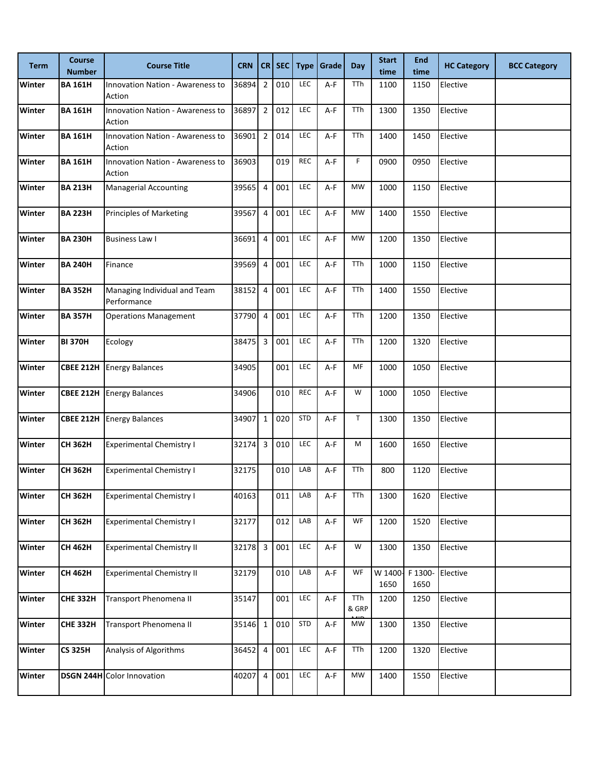| <b>Term</b> | <b>Course</b><br><b>Number</b> | <b>Course Title</b>                               | <b>CRN</b> | CR                      | SEC | <b>Type</b> | <b>Grade</b> | Day          | <b>Start</b><br>time | <b>End</b><br>time | <b>HC Category</b> | <b>BCC Category</b> |
|-------------|--------------------------------|---------------------------------------------------|------------|-------------------------|-----|-------------|--------------|--------------|----------------------|--------------------|--------------------|---------------------|
| Winter      | <b>BA 161H</b>                 | <b>Innovation Nation - Awareness to</b><br>Action | 36894      | $\overline{2}$          | 010 | LEC         | $A-F$        | TTh          | 1100                 | 1150               | Elective           |                     |
| Winter      | <b>BA 161H</b>                 | <b>Innovation Nation - Awareness to</b><br>Action | 36897      | $\overline{2}$          | 012 | LEC         | A-F          | TTh          | 1300                 | 1350               | Elective           |                     |
| Winter      | <b>BA 161H</b>                 | Innovation Nation - Awareness to<br>Action        | 36901      | $\overline{2}$          | 014 | LEC         | A-F          | TTh          | 1400                 | 1450               | Elective           |                     |
| Winter      | <b>BA 161H</b>                 | Innovation Nation - Awareness to<br>Action        | 36903      |                         | 019 | <b>REC</b>  | A-F          | F.           | 0900                 | 0950               | Elective           |                     |
| Winter      | <b>BA 213H</b>                 | <b>Managerial Accounting</b>                      | 39565      | $\overline{4}$          | 001 | LEC         | A-F          | <b>MW</b>    | 1000                 | 1150               | Elective           |                     |
| Winter      | <b>BA 223H</b>                 | <b>Principles of Marketing</b>                    | 39567      | 4                       | 001 | LEC         | A-F          | <b>MW</b>    | 1400                 | 1550               | Elective           |                     |
| Winter      | <b>BA 230H</b>                 | <b>Business Law I</b>                             | 36691      | $\overline{4}$          | 001 | LEC         | A-F          | <b>MW</b>    | 1200                 | 1350               | Elective           |                     |
| Winter      | <b>BA 240H</b>                 | Finance                                           | 39569      | $\overline{4}$          | 001 | LEC         | A-F          | TTh          | 1000                 | 1150               | Elective           |                     |
| Winter      | <b>BA 352H</b>                 | Managing Individual and Team<br>Performance       | 38152      | $\overline{4}$          | 001 | LEC         | $A-F$        | TTh          | 1400                 | 1550               | Elective           |                     |
| Winter      | <b>BA 357H</b>                 | <b>Operations Management</b>                      | 37790      | $\overline{4}$          | 001 | LEC         | A-F          | TTh          | 1200                 | 1350               | Elective           |                     |
| Winter      | <b>BI 370H</b>                 | Ecology                                           | 38475      | $\overline{\mathbf{3}}$ | 001 | LEC         | A-F          | TTh          | 1200                 | 1320               | Elective           |                     |
| Winter      |                                | <b>CBEE 212H Energy Balances</b>                  | 34905      |                         | 001 | LEC         | A-F          | MF           | 1000                 | 1050               | Elective           |                     |
| Winter      | <b>CBEE 212H</b>               | <b>Energy Balances</b>                            | 34906      |                         | 010 | <b>REC</b>  | A-F          | W            | 1000                 | 1050               | Elective           |                     |
| Winter      |                                | <b>CBEE 212H Energy Balances</b>                  | 34907      | $\mathbf 1$             | 020 | <b>STD</b>  | $A-F$        | T.           | 1300                 | 1350               | Elective           |                     |
| Winter      | <b>CH 362H</b>                 | <b>Experimental Chemistry I</b>                   | 32174      | $\overline{\mathbf{3}}$ | 010 | LEC         | A-F          | M            | 1600                 | 1650               | Elective           |                     |
| Winter      | <b>CH 362H</b>                 | <b>Experimental Chemistry I</b>                   | 32175      |                         | 010 | LAB         | A-F          | TTh          | 800                  | 1120               | Elective           |                     |
| Winter      | CH 362H                        | <b>Experimental Chemistry I</b>                   | 40163      |                         | 011 | LAB         | A-F          | TTh          | 1300                 | 1620               | Elective           |                     |
| Winter      | <b>CH 362H</b>                 | <b>Experimental Chemistry I</b>                   | 32177      |                         | 012 | LAB         | A-F          | WF           | 1200                 | 1520               | Elective           |                     |
| Winter      | <b>CH 462H</b>                 | <b>Experimental Chemistry II</b>                  | 32178      | $\overline{\mathbf{3}}$ | 001 | LEC         | A-F          | W            | 1300                 | 1350               | Elective           |                     |
| Winter      | <b>CH 462H</b>                 | <b>Experimental Chemistry II</b>                  | 32179      |                         | 010 | LAB         | A-F          | WF           | W 1400<br>1650       | F 1300-<br>1650    | Elective           |                     |
| Winter      | <b>CHE 332H</b>                | Transport Phenomena II                            | 35147      |                         | 001 | LEC         | $A-F$        | TTh<br>& GRP | 1200                 | 1250               | Elective           |                     |
| Winter      | <b>CHE 332H</b>                | Transport Phenomena II                            | 35146 1    |                         | 010 | <b>STD</b>  | A-F          | <b>MW</b>    | 1300                 | 1350               | Elective           |                     |
| Winter      | <b>CS 325H</b>                 | Analysis of Algorithms                            | 36452      | 4                       | 001 | LEC         | A-F          | TTh          | 1200                 | 1320               | Elective           |                     |
| Winter      |                                | <b>DSGN 244H</b> Color Innovation                 | 40207      | $\overline{4}$          | 001 | LEC         | $A-F$        | <b>MW</b>    | 1400                 | 1550               | Elective           |                     |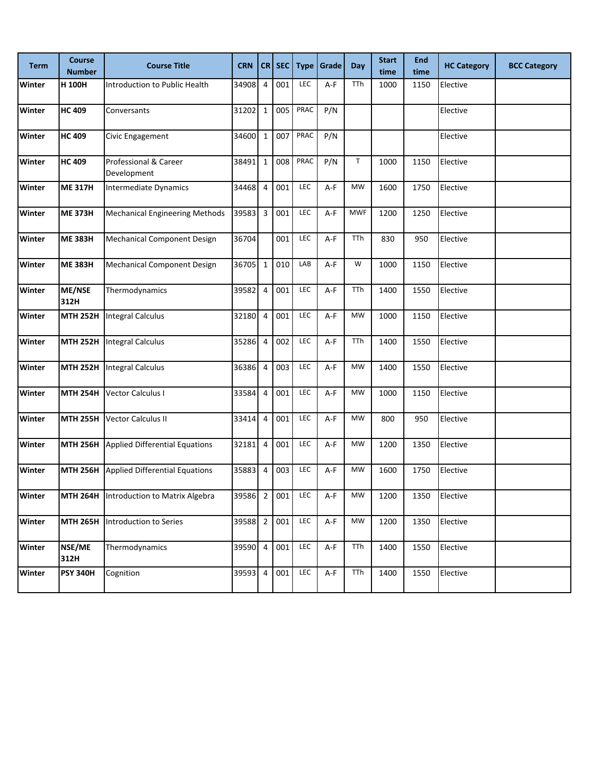| <b>Term</b>   | <b>Course</b><br><b>Number</b> | <b>Course Title</b>                      | <b>CRN</b> | CR                      | <b>SEC</b> | <b>Type</b> | Grade | <b>Day</b>  | <b>Start</b><br>time | <b>End</b><br>time | <b>HC Category</b> | <b>BCC Category</b> |
|---------------|--------------------------------|------------------------------------------|------------|-------------------------|------------|-------------|-------|-------------|----------------------|--------------------|--------------------|---------------------|
| Winter        | H 100H                         | Introduction to Public Health            | 34908      | 4                       | 001        | LEC         | $A-F$ | TTh         | 1000                 | 1150               | Elective           |                     |
| Winter        | <b>HC 409</b>                  | Conversants                              | 31202      | $\mathbf 1$             | 005        | PRAC        | P/N   |             |                      |                    | Elective           |                     |
| Winter        | <b>HC 409</b>                  | Civic Engagement                         | 34600      | $\mathbf 1$             | 007        | PRAC        | P/N   |             |                      |                    | Elective           |                     |
| Winter        | <b>HC 409</b>                  | Professional & Career<br>Development     | 38491      | $\mathbf 1$             | 008        | PRAC        | P/N   | $\mathsf T$ | 1000                 | 1150               | Elective           |                     |
| Winter        | <b>ME 317H</b>                 | Intermediate Dynamics                    | 34468      | $\overline{4}$          | 001        | LEC         | A-F   | <b>MW</b>   | 1600                 | 1750               | Elective           |                     |
| Winter        | <b>ME 373H</b>                 | <b>Mechanical Engineering Methods</b>    | 39583      | $\overline{\mathbf{3}}$ | 001        | LEC         | A-F   | <b>MWF</b>  | 1200                 | 1250               | Elective           |                     |
| Winter        | <b>ME 383H</b>                 | Mechanical Component Design              | 36704      |                         | 001        | LEC         | A-F   | TTh         | 830                  | 950                | Elective           |                     |
| Winter        | <b>ME 383H</b>                 | <b>Mechanical Component Design</b>       | 36705      | $\mathbf 1$             | 010        | LAB         | A-F   | W           | 1000                 | 1150               | Elective           |                     |
| Winter        | ME/NSE<br>312H                 | Thermodynamics                           | 39582      | $\overline{4}$          | 001        | LEC         | A-F   | <b>TTh</b>  | 1400                 | 1550               | Elective           |                     |
| Winter        | <b>MTH 252H</b>                | <b>Integral Calculus</b>                 | 32180      | $\overline{4}$          | 001        | LEC         | A-F   | <b>MW</b>   | 1000                 | 1150               | Elective           |                     |
| Winter        | <b>MTH 252H</b>                | <b>Integral Calculus</b>                 | 35286      | $\overline{4}$          | 002        | LEC         | A-F   | <b>TTh</b>  | 1400                 | 1550               | Elective           |                     |
| Winter        | <b>MTH 252H</b>                | <b>Integral Calculus</b>                 | 36386      | $\overline{4}$          | 003        | LEC         | A-F   | <b>MW</b>   | 1400                 | 1550               | Elective           |                     |
| Winter        | <b>MTH 254H</b>                | Vector Calculus I                        | 33584      | 4                       | 001        | LEC         | A-F   | <b>MW</b>   | 1000                 | 1150               | Elective           |                     |
| Winter        | <b>MTH 255H</b>                | <b>Vector Calculus II</b>                | 33414      | $\overline{4}$          | 001        | LEC         | $A-F$ | <b>MW</b>   | 800                  | 950                | Elective           |                     |
| Winter        | <b>MTH 256H</b>                | Applied Differential Equations           | 32181      | $\overline{4}$          | 001        | LEC         | A-F   | <b>MW</b>   | 1200                 | 1350               | Elective           |                     |
| Winter        | <b>MTH 256H</b>                | <b>Applied Differential Equations</b>    | 35883      | 4                       | 003        | LEC         | A-F   | <b>MW</b>   | 1600                 | 1750               | Elective           |                     |
| Winter        |                                | MTH 264H  Introduction to Matrix Algebra | 39586 2    |                         | 001        | LEC         | A-F   | MW          | 1200                 | 1350               | Elective           |                     |
| Winter        | <b>MTH 265H</b>                | Introduction to Series                   | 39588      | $\overline{2}$          | 001        | LEC         | $A-F$ | MW          | 1200                 | 1350               | Elective           |                     |
| Winter        | NSE/ME<br>312H                 | Thermodynamics                           | 39590      | $\overline{4}$          | 001        | LEC         | $A-F$ | TTh         | 1400                 | 1550               | Elective           |                     |
| <b>Winter</b> | <b>PSY 340H</b>                | Cognition                                | 39593 4    |                         | 001        | LEC         | A-F   | TTh         | 1400                 | 1550               | Elective           |                     |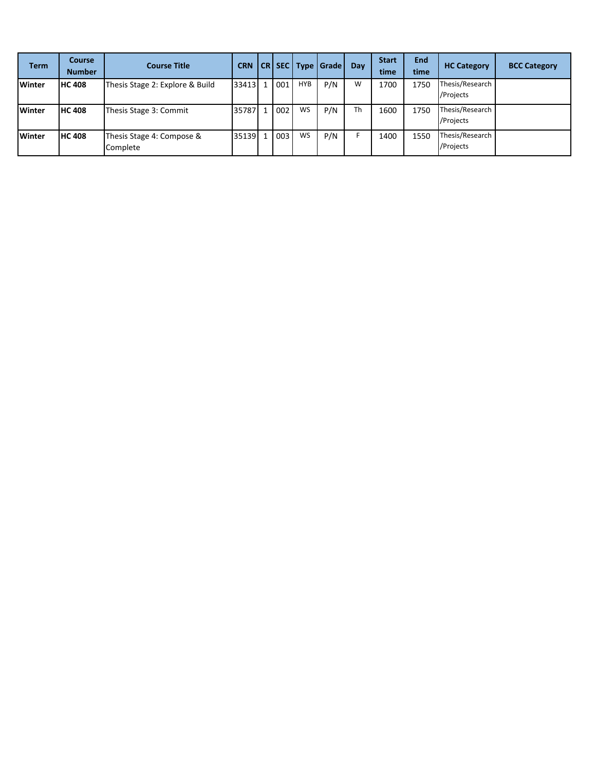| <b>Term</b>   | Course<br><b>Number</b> | <b>Course Title</b>                   | <b>CRN</b> |   |     |           | CR   SEC   Type   Grade | Day | <b>Start</b><br>time | <b>End</b><br>time | <b>HC Category</b>           | <b>BCC Category</b> |
|---------------|-------------------------|---------------------------------------|------------|---|-----|-----------|-------------------------|-----|----------------------|--------------------|------------------------------|---------------------|
| <b>Winter</b> | <b>HC 408</b>           | Thesis Stage 2: Explore & Build       | 33413      | 1 | 001 | HYB       | P/N                     | W   | 1700                 | 1750               | Thesis/Research<br>/Projects |                     |
| Winter        | <b>HC 408</b>           | Thesis Stage 3: Commit                | 35787      |   | 002 | <b>WS</b> | P/N                     | Th  | 1600                 | 1750               | Thesis/Research<br>/Projects |                     |
| <b>Winter</b> | <b>HC 408</b>           | Thesis Stage 4: Compose &<br>Complete | 35139      | 1 | 003 | <b>WS</b> | P/N                     | F   | 1400                 | 1550               | Thesis/Research<br>/Projects |                     |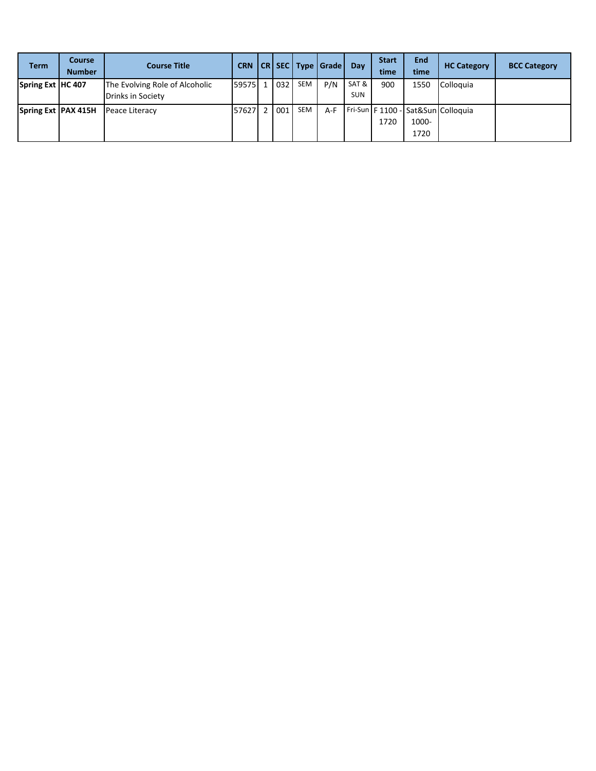| <b>Term</b>           | <b>Course</b><br><b>Number</b> | <b>Course Title</b>                                 | <b>CRN</b> |     |            | CR SEC Type Grade | Dav                 | <b>Start</b><br>time | End<br>time   | <b>HC Category</b>                   | <b>BCC Category</b> |
|-----------------------|--------------------------------|-----------------------------------------------------|------------|-----|------------|-------------------|---------------------|----------------------|---------------|--------------------------------------|---------------------|
| Spring Ext   HC 407   |                                | The Evolving Role of Alcoholic<br>Drinks in Society | 59575 1    | 032 | <b>SEM</b> | P/N               | SAT &<br><b>SUN</b> | 900                  | 1550          | Colloquia                            |                     |
| Spring Ext   PAX 415H |                                | Peace Literacy                                      | 576271     | 001 | <b>SEM</b> | A-F               |                     | 1720                 | 1000-<br>1720 | Fri-Sun   F 1100 - Sat&Sun Colloquia |                     |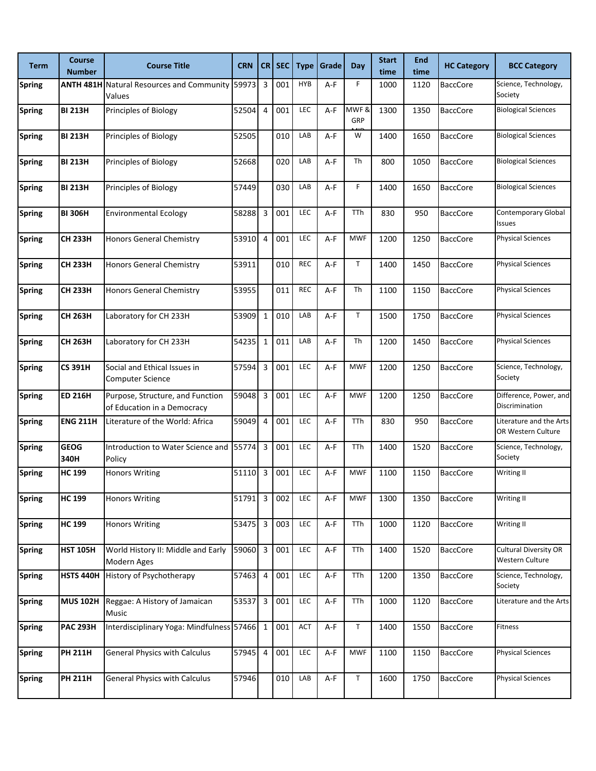| <b>Term</b>   | <b>Course</b><br><b>Number</b> | <b>Course Title</b>                                             | <b>CRN</b> |                | $CR$ SEC | <b>Type</b> | Grade | Day         | <b>Start</b><br>time | <b>End</b><br>time | <b>HC Category</b> | <b>BCC Category</b>                             |
|---------------|--------------------------------|-----------------------------------------------------------------|------------|----------------|----------|-------------|-------|-------------|----------------------|--------------------|--------------------|-------------------------------------------------|
| <b>Spring</b> |                                | ANTH 481H Natural Resources and Community 59973<br>Values       |            | 3              | 001      | <b>HYB</b>  | A-F   | F.          | 1000                 | 1120               | <b>BaccCore</b>    | Science, Technology,<br>Society                 |
| <b>Spring</b> | <b>BI 213H</b>                 | Principles of Biology                                           | 52504      | $\overline{4}$ | 001      | LEC         | $A-F$ | MWF&<br>GRP | 1300                 | 1350               | <b>BaccCore</b>    | <b>Biological Sciences</b>                      |
| <b>Spring</b> | <b>BI 213H</b>                 | Principles of Biology                                           | 52505      |                | 010      | LAB         | A-F   | W           | 1400                 | 1650               | <b>BaccCore</b>    | <b>Biological Sciences</b>                      |
| <b>Spring</b> | <b>BI 213H</b>                 | Principles of Biology                                           | 52668      |                | 020      | LAB         | $A-F$ | Th          | 800                  | 1050               | <b>BaccCore</b>    | <b>Biological Sciences</b>                      |
| <b>Spring</b> | <b>BI 213H</b>                 | Principles of Biology                                           | 57449      |                | 030      | LAB         | A-F   | F           | 1400                 | 1650               | <b>BaccCore</b>    | <b>Biological Sciences</b>                      |
| <b>Spring</b> | <b>BI 306H</b>                 | <b>Environmental Ecology</b>                                    | 58288      | 3              | 001      | LEC         | A-F   | TTh         | 830                  | 950                | <b>BaccCore</b>    | Contemporary Global<br>Issues                   |
| <b>Spring</b> | <b>CH 233H</b>                 | <b>Honors General Chemistry</b>                                 | 53910      | 4              | 001      | LEC         | $A-F$ | <b>MWF</b>  | 1200                 | 1250               | <b>BaccCore</b>    | <b>Physical Sciences</b>                        |
| <b>Spring</b> | <b>CH 233H</b>                 | <b>Honors General Chemistry</b>                                 | 53911      |                | 010      | <b>REC</b>  | A-F   | T           | 1400                 | 1450               | <b>BaccCore</b>    | <b>Physical Sciences</b>                        |
| <b>Spring</b> | <b>CH 233H</b>                 | <b>Honors General Chemistry</b>                                 | 53955      |                | 011      | <b>REC</b>  | $A-F$ | Th          | 1100                 | 1150               | <b>BaccCore</b>    | <b>Physical Sciences</b>                        |
| <b>Spring</b> | <b>CH 263H</b>                 | Laboratory for CH 233H                                          | 53909      | $\mathbf{1}$   | 010      | LAB         | A-F   | T           | 1500                 | 1750               | <b>BaccCore</b>    | <b>Physical Sciences</b>                        |
| <b>Spring</b> | <b>CH 263H</b>                 | Laboratory for CH 233H                                          | 54235      | $\mathbf{1}$   | 011      | LAB         | A-F   | Th          | 1200                 | 1450               | <b>BaccCore</b>    | <b>Physical Sciences</b>                        |
| <b>Spring</b> | <b>CS 391H</b>                 | Social and Ethical Issues in<br>Computer Science                | 57594      | 3              | 001      | LEC         | $A-F$ | <b>MWF</b>  | 1200                 | 1250               | <b>BaccCore</b>    | Science, Technology,<br>Society                 |
| <b>Spring</b> | <b>ED 216H</b>                 | Purpose, Structure, and Function<br>of Education in a Democracy | 59048      | 3              | 001      | <b>LEC</b>  | $A-F$ | <b>MWF</b>  | 1200                 | 1250               | <b>BaccCore</b>    | Difference, Power, and<br>Discrimination        |
| <b>Spring</b> | <b>ENG 211H</b>                | Literature of the World: Africa                                 | 59049      | 4              | 001      | LEC         | A-F   | TTh         | 830                  | 950                | <b>BaccCore</b>    | Literature and the Arts<br>OR Western Culture   |
| <b>Spring</b> | <b>GEOG</b><br>340H            | Introduction to Water Science and<br>Policy                     | 55774      | 3              | 001      | LEC         | A-F   | TTh         | 1400                 | 1520               | <b>BaccCore</b>    | Science, Technology,<br>Society                 |
| <b>Spring</b> | <b>HC 199</b>                  | <b>Honors Writing</b>                                           | 51110      | 3              | 001      | LEC         | A-F   | <b>MWF</b>  | 1100                 | 1150               | <b>BaccCore</b>    | Writing II                                      |
| <b>Spring</b> | <b>HC 199</b>                  | <b>Honors Writing</b>                                           | 51791      | 3              | 002      | LEC         | A-F   | <b>MWF</b>  | 1300                 | 1350               | <b>BaccCore</b>    | <b>Writing II</b>                               |
| <b>Spring</b> | <b>HC 199</b>                  | <b>Honors Writing</b>                                           | 53475      | $\mathsf 3$    | 003      | LEC         | A-F   | TTh         | 1000                 | 1120               | <b>BaccCore</b>    | Writing II                                      |
| <b>Spring</b> | <b>HST 105H</b>                | World History II: Middle and Early<br>Modern Ages               | 59060 3    |                | 001      | <b>LEC</b>  | A-F   | TTh         | 1400                 | 1520               | <b>BaccCore</b>    | <b>Cultural Diversity OR</b><br>Western Culture |
| <b>Spring</b> | <b>HSTS 440H</b>               | History of Psychotherapy                                        | 57463      | $\overline{4}$ | 001      | LEC         | A-F   | TTh         | 1200                 | 1350               | <b>BaccCore</b>    | Science, Technology,<br>Society                 |
| <b>Spring</b> | <b>MUS 102H</b>                | Reggae: A History of Jamaican<br>Music                          | 53537      | $\mathsf 3$    | 001      | LEC         | $A-F$ | TTh         | 1000                 | 1120               | <b>BaccCore</b>    | Literature and the Arts                         |
| <b>Spring</b> | <b>PAC 293H</b>                | Interdisciplinary Yoga: Mindfulness 57466 1                     |            |                | 001      | ACT         | A-F   | $\mathsf T$ | 1400                 | 1550               | <b>BaccCore</b>    | Fitness                                         |
| <b>Spring</b> | <b>PH 211H</b>                 | <b>General Physics with Calculus</b>                            | 57945      | 4              | 001      | <b>LEC</b>  | A-F   | <b>MWF</b>  | 1100                 | 1150               | <b>BaccCore</b>    | <b>Physical Sciences</b>                        |
| <b>Spring</b> | <b>PH 211H</b>                 | <b>General Physics with Calculus</b>                            | 57946      |                | 010      | LAB         | A-F   | $\mathsf T$ | 1600                 | 1750               | <b>BaccCore</b>    | <b>Physical Sciences</b>                        |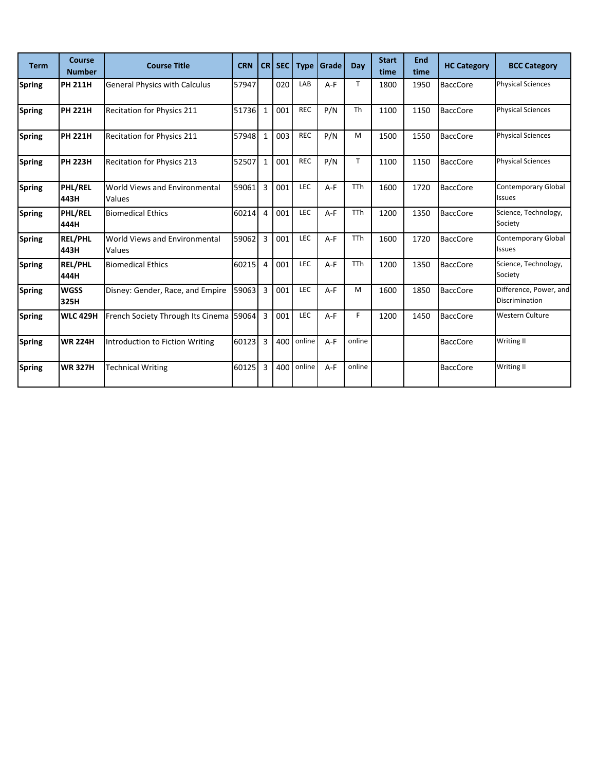| <b>Term</b>   | <b>Course</b><br><b>Number</b> | <b>Course Title</b>                     | <b>CRN</b> |                | CR SEC | <b>Type</b> | Grade | Day        | <b>Start</b><br>time | <b>End</b><br>time | <b>HC Category</b> | <b>BCC Category</b>                         |
|---------------|--------------------------------|-----------------------------------------|------------|----------------|--------|-------------|-------|------------|----------------------|--------------------|--------------------|---------------------------------------------|
| <b>Spring</b> | <b>PH 211H</b>                 | <b>General Physics with Calculus</b>    | 57947      |                | 020    | LAB         | $A-F$ | T          | 1800                 | 1950               | <b>BaccCore</b>    | <b>Physical Sciences</b>                    |
| <b>Spring</b> | <b>PH 221H</b>                 | Recitation for Physics 211              | 51736      | $\mathbf{1}$   | 001    | <b>REC</b>  | P/N   | Th         | 1100                 | 1150               | <b>BaccCore</b>    | <b>Physical Sciences</b>                    |
| <b>Spring</b> | <b>PH 221H</b>                 | Recitation for Physics 211              | 57948      | 1              | 003    | <b>REC</b>  | P/N   | M          | 1500                 | 1550               | <b>BaccCore</b>    | <b>Physical Sciences</b>                    |
| <b>Spring</b> | <b>PH 223H</b>                 | <b>Recitation for Physics 213</b>       | 52507      | $\mathbf{1}$   | 001    | <b>REC</b>  | P/N   | T.         | 1100                 | 1150               | <b>BaccCore</b>    | <b>Physical Sciences</b>                    |
| <b>Spring</b> | <b>PHL/REL</b><br>443H         | World Views and Environmental<br>Values | 59061      | $\overline{3}$ | 001    | LEC         | $A-F$ | <b>TTh</b> | 1600                 | 1720               | <b>BaccCore</b>    | <b>Contemporary Global</b><br><b>Issues</b> |
| <b>Spring</b> | PHL/REL<br>444H                | <b>Biomedical Ethics</b>                | 60214      | $\overline{4}$ | 001    | LEC         | $A-F$ | <b>TTh</b> | 1200                 | 1350               | <b>BaccCore</b>    | Science, Technology,<br>Society             |
| <b>Spring</b> | <b>REL/PHL</b><br>443H         | World Views and Environmental<br>Values | 59062      | 3              | 001    | LEC         | $A-F$ | <b>TTh</b> | 1600                 | 1720               | <b>BaccCore</b>    | <b>Contemporary Global</b><br><b>Issues</b> |
| <b>Spring</b> | <b>REL/PHL</b><br>444H         | <b>Biomedical Ethics</b>                | 60215      | 4              | 001    | LEC         | $A-F$ | <b>TTh</b> | 1200                 | 1350               | <b>BaccCore</b>    | Science, Technology,<br>Society             |
| <b>Spring</b> | <b>WGSS</b><br>325H            | Disney: Gender, Race, and Empire        | 59063      | $\overline{3}$ | 001    | LEC         | $A-F$ | M          | 1600                 | 1850               | <b>BaccCore</b>    | Difference, Power, and<br>Discrimination    |
| <b>Spring</b> | <b>WLC 429H</b>                | French Society Through Its Cinema 59064 |            | $\overline{3}$ | 001    | LEC         | $A-F$ | F          | 1200                 | 1450               | <b>BaccCore</b>    | <b>Western Culture</b>                      |
| <b>Spring</b> | <b>WR 224H</b>                 | Introduction to Fiction Writing         | 60123      | 3              | 400    | online      | $A-F$ | online     |                      |                    | <b>BaccCore</b>    | Writing II                                  |
| <b>Spring</b> | <b>WR 327H</b>                 | <b>Technical Writing</b>                | 60125      | 3              | 400    | online      | $A-F$ | online     |                      |                    | <b>BaccCore</b>    | Writing II                                  |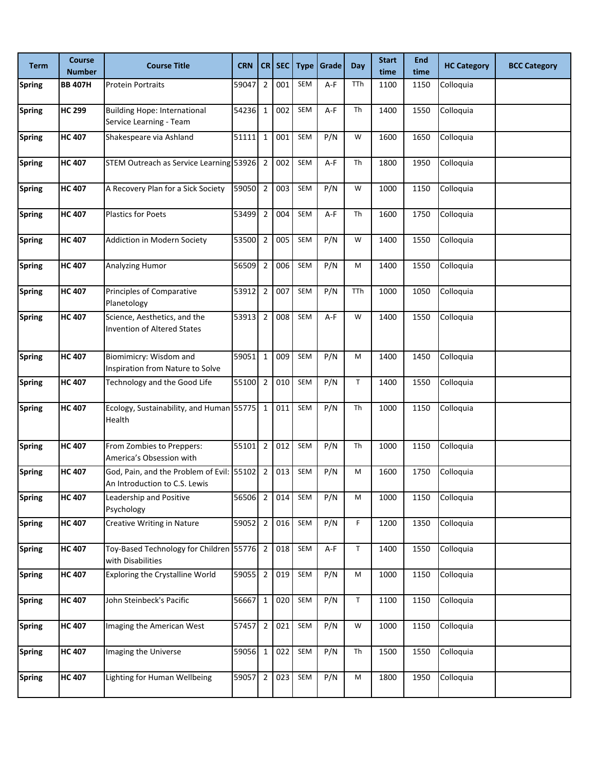| Term          | <b>Course</b><br><b>Number</b> | <b>Course Title</b>                                                        | <b>CRN</b> |                | CR SEC | <b>Type</b> | Grade | <b>Day</b>  | <b>Start</b><br>time | <b>End</b><br>time | <b>HC Category</b> | <b>BCC Category</b> |
|---------------|--------------------------------|----------------------------------------------------------------------------|------------|----------------|--------|-------------|-------|-------------|----------------------|--------------------|--------------------|---------------------|
| <b>Spring</b> | <b>BB 407H</b>                 | <b>Protein Portraits</b>                                                   | 59047      | $\overline{2}$ | 001    | SEM         | A-F   | TTh         | 1100                 | 1150               | Colloquia          |                     |
| <b>Spring</b> | <b>HC 299</b>                  | <b>Building Hope: International</b><br>Service Learning - Team             | 54236 1    |                | 002    | SEM         | A-F   | Th          | 1400                 | 1550               | Colloquia          |                     |
| <b>Spring</b> | <b>HC 407</b>                  | Shakespeare via Ashland                                                    | 51111      | $\mathbf{1}$   | 001    | SEM         | P/N   | W           | 1600                 | 1650               | Colloquia          |                     |
| <b>Spring</b> | <b>HC 407</b>                  | STEM Outreach as Service Learning 53926 2                                  |            |                | 002    | SEM         | A-F   | Th          | 1800                 | 1950               | Colloquia          |                     |
| <b>Spring</b> | <b>HC 407</b>                  | A Recovery Plan for a Sick Society                                         | 59050      | $\overline{2}$ | 003    | SEM         | P/N   | W           | 1000                 | 1150               | Colloquia          |                     |
| <b>Spring</b> | <b>HC 407</b>                  | <b>Plastics for Poets</b>                                                  | 53499      | $\overline{2}$ | 004    | SEM         | A-F   | Th          | 1600                 | 1750               | Colloquia          |                     |
| <b>Spring</b> | <b>HC 407</b>                  | <b>Addiction in Modern Society</b>                                         | 53500      | $\overline{2}$ | 005    | SEM         | P/N   | W           | 1400                 | 1550               | Colloquia          |                     |
| <b>Spring</b> | <b>HC 407</b>                  | Analyzing Humor                                                            | 56509      | $\overline{2}$ | 006    | SEM         | P/N   | M           | 1400                 | 1550               | Colloquia          |                     |
| <b>Spring</b> | <b>HC 407</b>                  | Principles of Comparative<br>Planetology                                   | 53912      | $\overline{2}$ | 007    | SEM         | P/N   | TTh         | 1000                 | 1050               | Colloquia          |                     |
| <b>Spring</b> | <b>HC 407</b>                  | Science, Aesthetics, and the<br><b>Invention of Altered States</b>         | 53913      | $\overline{2}$ | 008    | SEM         | $A-F$ | W           | 1400                 | 1550               | Colloquia          |                     |
| <b>Spring</b> | <b>HC 407</b>                  | Biomimicry: Wisdom and<br>Inspiration from Nature to Solve                 | 59051      | $\mathbf{1}$   | 009    | SEM         | P/N   | M           | 1400                 | 1450               | Colloquia          |                     |
| <b>Spring</b> | <b>HC 407</b>                  | Technology and the Good Life                                               | 55100      | $\overline{2}$ | 010    | SEM         | P/N   | $\mathsf T$ | 1400                 | 1550               | Colloquia          |                     |
| <b>Spring</b> | <b>HC 407</b>                  | Ecology, Sustainability, and Human 55775 1<br>Health                       |            |                | 011    | SEM         | P/N   | Th          | 1000                 | 1150               | Colloquia          |                     |
| <b>Spring</b> | <b>HC 407</b>                  | From Zombies to Preppers:<br>America's Obsession with                      | 55101      | $\overline{2}$ | 012    | SEM         | P/N   | Th          | 1000                 | 1150               | Colloquia          |                     |
| <b>Spring</b> | <b>HC 407</b>                  | God, Pain, and the Problem of Evil: 55102<br>An Introduction to C.S. Lewis |            | $\overline{2}$ | 013    | SEM         | P/N   | М           | 1600                 | 1750               | Colloquia          |                     |
| <b>Spring</b> | <b>HC 407</b>                  | Leadership and Positive<br>Psychology                                      | 56506 2    |                | 014    | SEM         | P/N   | М           | 1000                 | 1150               | Colloquia          |                     |
| <b>Spring</b> | <b>HC 407</b>                  | Creative Writing in Nature                                                 | 59052 2    |                | 016    | SEM         | P/N   | F.          | 1200                 | 1350               | Colloquia          |                     |
| <b>Spring</b> | <b>HC 407</b>                  | Toy-Based Technology for Children 55776 2<br>with Disabilities             |            |                | 018    | SEM         | A-F   | $\mathsf T$ | 1400                 | 1550               | Colloquia          |                     |
| <b>Spring</b> | <b>HC 407</b>                  | Exploring the Crystalline World                                            | 59055 2    |                | 019    | SEM         | P/N   | M           | 1000                 | 1150               | Colloquia          |                     |
| <b>Spring</b> | <b>HC 407</b>                  | John Steinbeck's Pacific                                                   | 56667      | $\overline{1}$ | 020    | SEM         | P/N   | $\mathsf T$ | 1100                 | 1150               | Colloquia          |                     |
| <b>Spring</b> | <b>HC 407</b>                  | Imaging the American West                                                  | 57457 2    |                | 021    | SEM         | P/N   | W           | 1000                 | 1150               | Colloquia          |                     |
| <b>Spring</b> | <b>HC 407</b>                  | Imaging the Universe                                                       | 59056 1    |                | 022    | SEM         | P/N   | Th          | 1500                 | 1550               | Colloquia          |                     |
| <b>Spring</b> | <b>HC 407</b>                  | Lighting for Human Wellbeing                                               | 59057      | $\overline{2}$ | 023    | SEM         | P/N   | М           | 1800                 | 1950               | Colloquia          |                     |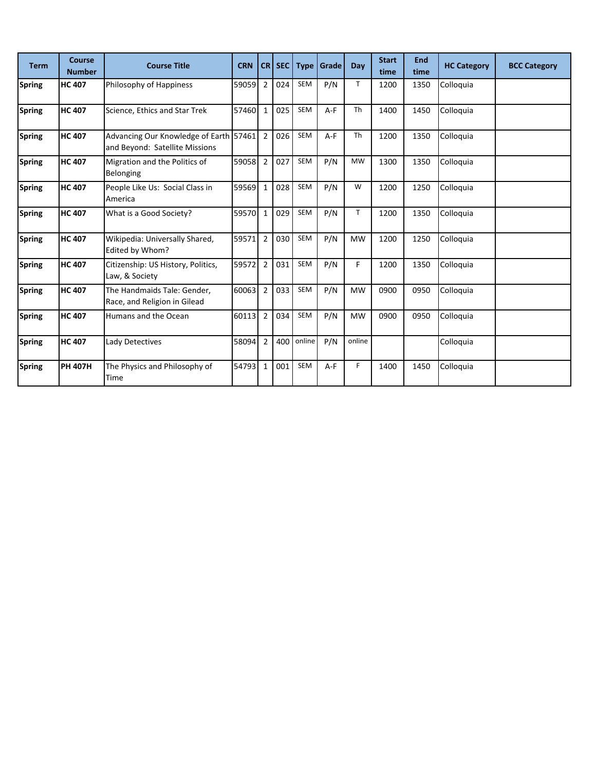| <b>Term</b>   | Course<br><b>Number</b> | <b>Course Title</b>                                                      | <b>CRN</b> |                | CR SEC | <b>Type</b> | Grade | Day          | <b>Start</b><br>time | <b>End</b><br>time | <b>HC Category</b> | <b>BCC Category</b> |
|---------------|-------------------------|--------------------------------------------------------------------------|------------|----------------|--------|-------------|-------|--------------|----------------------|--------------------|--------------------|---------------------|
| <b>Spring</b> | <b>HC 407</b>           | Philosophy of Happiness                                                  | 59059      | $\overline{2}$ | 024    | <b>SEM</b>  | P/N   | T.           | 1200                 | 1350               | Colloquia          |                     |
| <b>Spring</b> | <b>HC 407</b>           | Science, Ethics and Star Trek                                            | 57460      | $\mathbf{1}$   | 025    | <b>SEM</b>  | $A-F$ | Th           | 1400                 | 1450               | Colloquia          |                     |
| <b>Spring</b> | <b>HC 407</b>           | Advancing Our Knowledge of Earth 57461<br>and Beyond: Satellite Missions |            | $\overline{2}$ | 026    | <b>SEM</b>  | $A-F$ | Th           | 1200                 | 1350               | Colloquia          |                     |
| <b>Spring</b> | <b>HC 407</b>           | Migration and the Politics of<br>Belonging                               | 59058      | $\overline{2}$ | 027    | <b>SEM</b>  | P/N   | <b>MW</b>    | 1300                 | 1350               | Colloquia          |                     |
| <b>Spring</b> | <b>HC 407</b>           | People Like Us: Social Class in<br>America                               | 59569      | $\mathbf{1}$   | 028    | <b>SEM</b>  | P/N   | W            | 1200                 | 1250               | Colloquia          |                     |
| <b>Spring</b> | <b>HC 407</b>           | What is a Good Society?                                                  | 59570      | $\mathbf{1}$   | 029    | <b>SEM</b>  | P/N   | $\mathsf{T}$ | 1200                 | 1350               | Colloquia          |                     |
| <b>Spring</b> | <b>HC 407</b>           | Wikipedia: Universally Shared,<br>Edited by Whom?                        | 59571      | $\overline{2}$ | 030    | <b>SEM</b>  | P/N   | <b>MW</b>    | 1200                 | 1250               | Colloquia          |                     |
| <b>Spring</b> | <b>HC 407</b>           | Citizenship: US History, Politics,<br>Law, & Society                     | 59572      | $\overline{2}$ | 031    | <b>SEM</b>  | P/N   | F.           | 1200                 | 1350               | Colloquia          |                     |
| <b>Spring</b> | <b>HC 407</b>           | The Handmaids Tale: Gender,<br>Race, and Religion in Gilead              | 60063      | $\overline{2}$ | 033    | <b>SEM</b>  | P/N   | <b>MW</b>    | 0900                 | 0950               | Colloquia          |                     |
| <b>Spring</b> | <b>HC 407</b>           | Humans and the Ocean                                                     | 60113      | $\overline{2}$ | 034    | SEM         | P/N   | <b>MW</b>    | 0900                 | 0950               | Colloquia          |                     |
| <b>Spring</b> | <b>HC 407</b>           | Lady Detectives                                                          | 58094      | $\overline{2}$ | 400    | online      | P/N   | online       |                      |                    | Colloquia          |                     |
| <b>Spring</b> | <b>PH 407H</b>          | The Physics and Philosophy of<br>Time                                    | 54793      | $\mathbf{1}$   | 001    | <b>SEM</b>  | $A-F$ | F            | 1400                 | 1450               | Colloquia          |                     |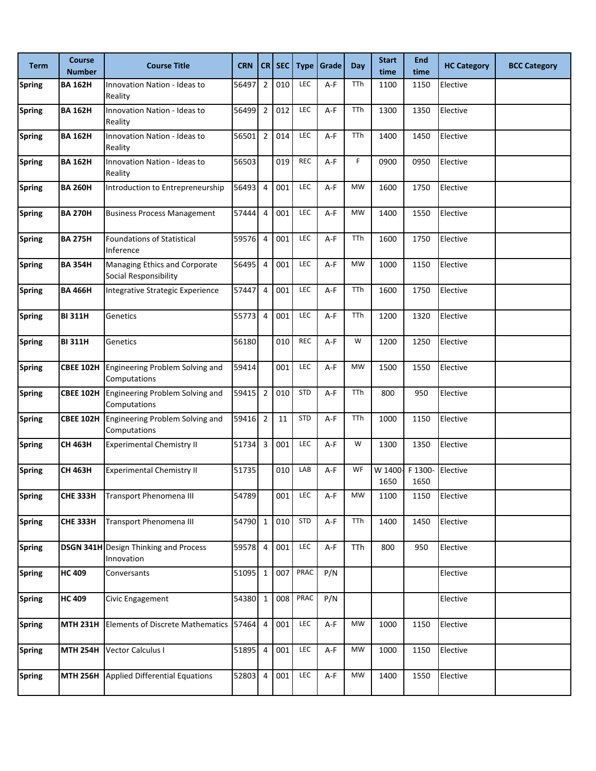| <b>Term</b>   | <b>Course</b><br><b>Number</b> | <b>Course Title</b>                                        | <b>CRN</b> | CR             | <b>SEC</b> | <b>Type</b> | Grade | Day       | <b>Start</b><br>time | <b>End</b><br>time | <b>HC Category</b> | <b>BCC Category</b> |
|---------------|--------------------------------|------------------------------------------------------------|------------|----------------|------------|-------------|-------|-----------|----------------------|--------------------|--------------------|---------------------|
| <b>Spring</b> | <b>BA 162H</b>                 | Innovation Nation - Ideas to<br>Reality                    | 56497      | $\overline{2}$ | 010        | LEC         | A-F   | TTh       | 1100                 | 1150               | Elective           |                     |
| <b>Spring</b> | <b>BA 162H</b>                 | <b>Innovation Nation - Ideas to</b><br>Reality             | 56499      | $\overline{2}$ | 012        | LEC         | A-F   | TTh       | 1300                 | 1350               | Elective           |                     |
| <b>Spring</b> | <b>BA 162H</b>                 | Innovation Nation - Ideas to<br>Reality                    | 56501      | $\overline{2}$ | 014        | LEC         | A-F   | TTh       | 1400                 | 1450               | Elective           |                     |
| <b>Spring</b> | <b>BA 162H</b>                 | <b>Innovation Nation - Ideas to</b><br>Reality             | 56503      |                | 019        | <b>REC</b>  | A-F   | F.        | 0900                 | 0950               | Elective           |                     |
| <b>Spring</b> | <b>BA 260H</b>                 | Introduction to Entrepreneurship                           | 56493      | $\overline{4}$ | 001        | LEC         | A-F   | <b>MW</b> | 1600                 | 1750               | Elective           |                     |
| <b>Spring</b> | <b>BA 270H</b>                 | <b>Business Process Management</b>                         | 57444      | 4              | 001        | LEC         | A-F   | <b>MW</b> | 1400                 | 1550               | Elective           |                     |
| <b>Spring</b> | <b>BA 275H</b>                 | <b>Foundations of Statistical</b><br>Inference             | 59576      | $\overline{4}$ | 001        | LEC         | A-F   | TTh       | 1600                 | 1750               | Elective           |                     |
| <b>Spring</b> | <b>BA 354H</b>                 | Managing Ethics and Corporate<br>Social Responsibility     | 56495      | 4              | 001        | LEC         | A-F   | <b>MW</b> | 1000                 | 1150               | Elective           |                     |
| <b>Spring</b> | <b>BA 466H</b>                 | Integrative Strategic Experience                           | 57447      | 4              | 001        | LEC         | A-F   | TTh       | 1600                 | 1750               | Elective           |                     |
| <b>Spring</b> | <b>BI311H</b>                  | Genetics                                                   | 55773      | $\overline{4}$ | 001        | LEC         | A-F   | TTh       | 1200                 | 1320               | Elective           |                     |
| <b>Spring</b> | <b>BI311H</b>                  | Genetics                                                   | 56180      |                | 010        | <b>REC</b>  | A-F   | W         | 1200                 | 1250               | Elective           |                     |
| <b>Spring</b> | <b>CBEE 102H</b>               | Engineering Problem Solving and<br>Computations            | 59414      |                | 001        | LEC         | A-F   | <b>MW</b> | 1500                 | 1550               | Elective           |                     |
| <b>Spring</b> | <b>CBEE 102H</b>               | Engineering Problem Solving and<br>Computations            | 59415      | $\overline{2}$ | 010        | <b>STD</b>  | A-F   | TTh       | 800                  | 950                | Elective           |                     |
| <b>Spring</b> | <b>CBEE 102H</b>               | Engineering Problem Solving and<br>Computations            | 59416      | $\overline{2}$ | 11         | <b>STD</b>  | $A-F$ | TTh       | 1000                 | 1150               | Elective           |                     |
| <b>Spring</b> | <b>CH 463H</b>                 | <b>Experimental Chemistry II</b>                           | 51734      | 3              | 001        | LEC         | A-F   | W         | 1300                 | 1350               | Elective           |                     |
| <b>Spring</b> | CH 463H                        | <b>Experimental Chemistry II</b>                           | 51735      |                | 010        | LAB         | A-F   | WF        | W 1400<br>1650       | F 1300-<br>1650    | Elective           |                     |
| <b>Spring</b> | <b>CHE 333H</b>                | Transport Phenomena III                                    | 54789      |                | 001        | LEC         | A-F   | MW        | 1100                 | 1150               | Elective           |                     |
| <b>Spring</b> | <b>CHE 333H</b>                | Transport Phenomena III                                    | 54790      | $\mathbf 1$    | 010        | <b>STD</b>  | A-F   | TTh       | 1400                 | 1450               | Elective           |                     |
| <b>Spring</b> |                                | <b>DSGN 341H</b> Design Thinking and Process<br>Innovation | 59578      | $\overline{4}$ | 001        | LEC         | A-F   | TTh       | 800                  | 950                | Elective           |                     |
| <b>Spring</b> | <b>HC 409</b>                  | Conversants                                                | 51095      | $\mathbf{1}$   | 007        | PRAC        | P/N   |           |                      |                    | Elective           |                     |
| <b>Spring</b> | <b>HC 409</b>                  | Civic Engagement                                           | 54380      | $\mathbf 1$    | 008        | PRAC        | P/N   |           |                      |                    | Elective           |                     |
| <b>Spring</b> | <b>MTH 231H</b>                | Elements of Discrete Mathematics 57464                     |            | $\overline{4}$ | 001        | LEC         | A-F   | <b>MW</b> | 1000                 | 1150               | Elective           |                     |
| <b>Spring</b> | <b>MTH 254H</b>                | Vector Calculus I                                          | 51895      | 4              | 001        | LEC         | A-F   | <b>MW</b> | 1000                 | 1150               | Elective           |                     |
| <b>Spring</b> | <b>MTH 256H</b>                | <b>Applied Differential Equations</b>                      | 52803      | $\overline{4}$ | 001        | LEC         | A-F   | <b>MW</b> | 1400                 | 1550               | Elective           |                     |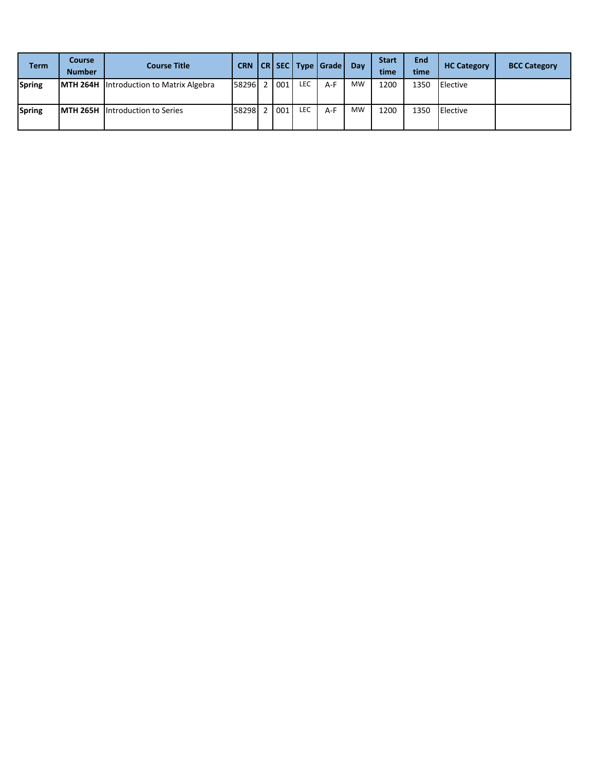| <b>Term</b> | <b>Course</b><br><b>Number</b> | <b>Course Title</b>                            |       |       |     | CRN CR SEC Type Grade Day |           | <b>Start</b><br>time | <b>End</b><br>time | <b>HC Category</b> | <b>BCC Category</b> |
|-------------|--------------------------------|------------------------------------------------|-------|-------|-----|---------------------------|-----------|----------------------|--------------------|--------------------|---------------------|
| Spring      |                                | <b>MTH 264H</b> Introduction to Matrix Algebra | 58296 | 2 001 | LEC | $A-F$                     | <b>MW</b> | 1200                 | 1350               | <b>IElective</b>   |                     |
| Spring      |                                | <b>MTH 265H</b> Introduction to Series         | 58298 | 2 001 | LEC | $A-F$                     | <b>MW</b> | 1200                 | 1350               | <b>IElective</b>   |                     |